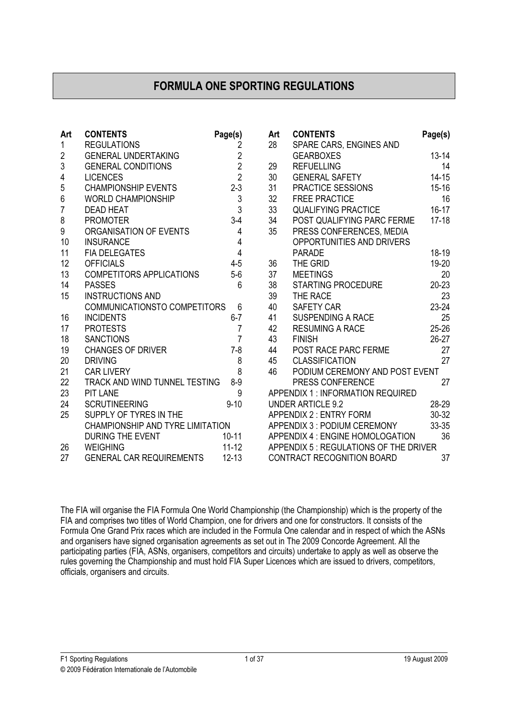# FORMULA ONE SPORTING REGULATIONS

| Art            | <b>CONTENTS</b>                  | Page(s)        | Art | <b>CONTENTS</b>                         | Page(s)   |
|----------------|----------------------------------|----------------|-----|-----------------------------------------|-----------|
| 1              | <b>REGULATIONS</b>               | $\overline{2}$ | 28  | SPARE CARS, ENGINES AND                 |           |
| $\overline{2}$ | <b>GENERAL UNDERTAKING</b>       | $\frac{2}{2}$  |     | <b>GEARBOXES</b>                        | $13 - 14$ |
| 3              | <b>GENERAL CONDITIONS</b>        |                | 29  | <b>REFUELLING</b>                       | 14        |
| 4              | <b>LICENCES</b>                  | $\overline{2}$ | 30  | <b>GENERAL SAFETY</b>                   | $14 - 15$ |
| 5              | <b>CHAMPIONSHIP EVENTS</b>       | $2 - 3$        | 31  | PRACTICE SESSIONS                       | $15 - 16$ |
| 6              | <b>WORLD CHAMPIONSHIP</b>        | $\mathfrak{Z}$ | 32  | <b>FREE PRACTICE</b>                    | 16        |
| $\overline{7}$ | <b>DEAD HEAT</b>                 | $\overline{3}$ | 33  | <b>QUALIFYING PRACTICE</b>              | $16 - 17$ |
| 8              | <b>PROMOTER</b>                  | $3-4$          | 34  | POST QUALIFYING PARC FERME              | $17-18$   |
| 9              | ORGANISATION OF EVENTS           | $\overline{4}$ | 35  | PRESS CONFERENCES, MEDIA                |           |
| 10             | <b>INSURANCE</b>                 | $\overline{4}$ |     | OPPORTUNITIES AND DRIVERS               |           |
| 11             | <b>FIA DELEGATES</b>             | $\overline{4}$ |     | <b>PARADE</b>                           | 18-19     |
| 12             | <b>OFFICIALS</b>                 | $4 - 5$        | 36  | THE GRID                                | 19-20     |
| 13             | <b>COMPETITORS APPLICATIONS</b>  | $5-6$          | 37  | <b>MEETINGS</b>                         | 20        |
| 14             | <b>PASSES</b>                    | 6              | 38  | <b>STARTING PROCEDURE</b>               | $20 - 23$ |
| 15             | <b>INSTRUCTIONS AND</b>          |                | 39  | THE RACE                                | 23        |
|                | COMMUNICATIONSTO COMPETITORS     | $6\phantom{1}$ | 40  | <b>SAFETY CAR</b>                       | $23 - 24$ |
| 16             | <b>INCIDENTS</b>                 | $6 - 7$        | 41  | <b>SUSPENDING A RACE</b>                | 25        |
| 17             | <b>PROTESTS</b>                  | $\overline{7}$ | 42  | <b>RESUMING A RACE</b>                  | 25-26     |
| 18             | <b>SANCTIONS</b>                 | $\overline{7}$ | 43  | <b>FINISH</b>                           | $26-27$   |
| 19             | <b>CHANGES OF DRIVER</b>         | $7 - 8$        | 44  | <b>POST RACE PARC FERME</b>             | 27        |
| 20             | <b>DRIVING</b>                   | 8              | 45  | <b>CLASSIFICATION</b>                   | 27        |
| 21             | <b>CAR LIVERY</b>                | 8              | 46  | PODIUM CEREMONY AND POST EVENT          |           |
| 22             | TRACK AND WIND TUNNEL TESTING    | $8-9$          |     | PRESS CONFERENCE                        | 27        |
| 23             | <b>PIT LANE</b>                  | 9              |     | <b>APPENDIX 1: INFORMATION REQUIRED</b> |           |
| 24             | <b>SCRUTINEERING</b>             | $9 - 10$       |     | <b>UNDER ARTICLE 9.2</b>                | 28-29     |
| 25             | SUPPLY OF TYRES IN THE           |                |     | <b>APPENDIX 2: ENTRY FORM</b>           | 30-32     |
|                | CHAMPIONSHIP AND TYRE LIMITATION |                |     | APPENDIX 3 : PODIUM CEREMONY            | 33-35     |
|                | <b>DURING THE EVENT</b>          | $10 - 11$      |     | APPENDIX 4 : ENGINE HOMOLOGATION        | 36        |
| 26             | <b>WEIGHING</b>                  | $11 - 12$      |     | APPENDIX 5 : REGULATIONS OF THE DRIVER  |           |
| 27             | <b>GENERAL CAR REQUIREMENTS</b>  | $12 - 13$      |     | <b>CONTRACT RECOGNITION BOARD</b>       | 37        |
|                |                                  |                |     |                                         |           |

The FIA will organise the FIA Formula One World Championship (the Championship) which is the property of the FIA and comprises two titles of World Champion, one for drivers and one for constructors. It consists of the Formula One Grand Prix races which are included in the Formula One calendar and in respect of which the ASNs and organisers have signed organisation agreements as set out in The 2009 Concorde Agreement. All the participating parties (FIA, ASNs, organisers, competitors and circuits) undertake to apply as well as observe the rules governing the Championship and must hold FIA Super Licences which are issued to drivers, competitors, officials, organisers and circuits.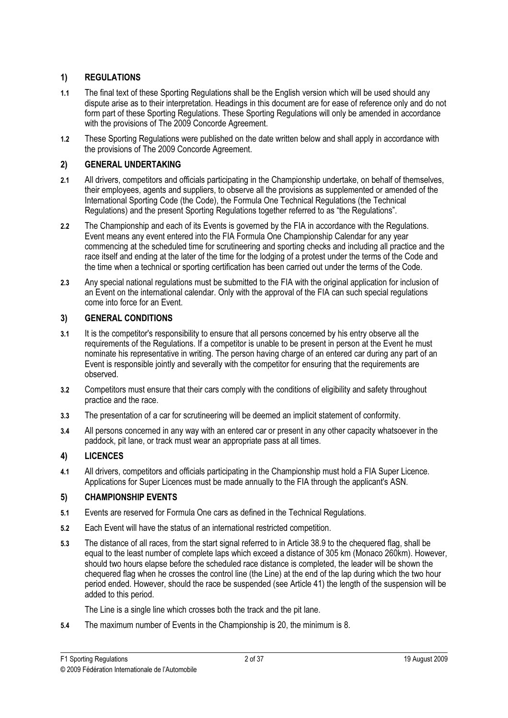### **REGULATIONS**

- 1) REGULATIONS<br>Regulations 1.1 The final text of these Sporting Regulations shall be the English version which will be used should any dispute arise as to their interpretation. Headings in this document are for ease of reference only and do not form part of these Sporting Regulations. These Sporting Regulations will only be amended in accordance with the provisions of The 2009 Concorde Agreement.
- 1.2 These Sporting Regulations were published on the date written below and shall apply in accordance with the provisions of The 2009 Concorde Agreement.

### **GENERAL UNDERTAKING**

- 2) GENERAL UNDERTAKTEN DER STREIBER 2.1 All drivers, competitors and officials participating in the Championship undertake, on behalf of themselves, their employees, agents and suppliers, to observe all the provisions as supplemented or amended of the International Sporting Code (the Code), the Formula One Technical Regulations (the Technical Regulations) and the present Sporting Regulations together referred to as "the Regulations".
- 2.2 The Championship and each of its Events is governed by the FIA in accordance with the Regulations. Event means any event entered into the FIA Formula One Championship Calendar for any year commencing at the scheduled time for scrutineering and sporting checks and including all practice and the race itself and ending at the later of the time for the lodging of a protest under the terms of the Code and the time when a technical or sporting certification has been carried out under the terms of the Code.
- 2.3 Any special national regulations must be submitted to the FIA with the original application for inclusion of an Event on the international calendar. Only with the approval of the FIA can such special regulations come into force for an Event.

### **GENERAL CONDITIONS**

- 3) GENERAL CONDITIONS 3.1 It is the competitor's responsibility to ensure that all persons concerned by his entry observe all the requirements of the Regulations. If a competitor is unable to be present in person at the Event he must nominate his representative in writing. The person having charge of an entered car during any part of an Event is responsible jointly and severally with the competitor for ensuring that the requirements are observed.
- 3.2 Competitors must ensure that their cars comply with the conditions of eligibility and safety throughout practice and the race.
- 3.3 The presentation of a car for scrutineering will be deemed an implicit statement of conformity.
- 3.4 All persons concerned in any way with an entered car or present in any other capacity whatsoever in the paddock, pit lane, or track must wear an appropriate pass at all times.

## **LICENCES**

 $\frac{1}{2}$  division  $\frac{1}{2}$ 4.1 All drivers, competitors and officials participating in the Championship must hold a FIA Super Licence. Applications for Super Licences must be made annually to the FIA through the applicant's ASN.

### **CHAMPIONSHIP EVENTS**

- 5) CHAMPIONSHIP EVENTS 5.1 Events are reserved for Formula One cars as defined in the Technical Regulations.
- 5.2 Each Event will have the status of an international restricted competition.
- 5.3 The distance of all races, from the start signal referred to in Article 38.9 to the chequered flag, shall be equal to the least number of complete laps which exceed a distance of 305 km (Monaco 260km). However, should two hours elapse before the scheduled race distance is completed, the leader will be shown the chequered flag when he crosses the control line (the Line) at the end of the lap during which the two hour period ended. However, should the race be suspended (see Article 41) the length of the suspension will be added to this period.

The Line is a single line which crosses both the track and the pit lane.

5.4 The maximum number of Events in the Championship is 20, the minimum is 8.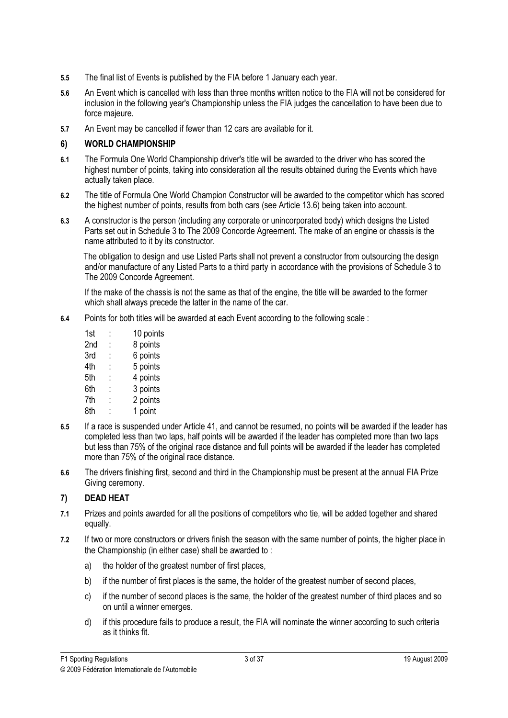- 5.5 The final list of Events is published by the FIA before 1 January each year.
- 5.6 An Event which is cancelled with less than three months written notice to the FIA will not be considered for inclusion in the following year's Championship unless the FIA judges the cancellation to have been due to force majeure.
- 5.7 An Event may be cancelled if fewer than 12 cars are available for it.

### **WORLD CHAMPIONSHIP**

- 6) WORLD CHAMPIONSHIP 6.1 The Formula One World Championship driver's title will be awarded to the driver who has scored the highest number of points, taking into consideration all the results obtained during the Events which have actually taken place.
- 6.2 The title of Formula One World Champion Constructor will be awarded to the competitor which has scored the highest number of points, results from both cars (see Article 13.6) being taken into account.
- 6.3 A constructor is the person (including any corporate or unincorporated body) which designs the Listed Parts set out in Schedule 3 to The 2009 Concorde Agreement. The make of an engine or chassis is the name attributed to it by its constructor.

The obligation to design and use Listed Parts shall not prevent a constructor from outsourcing the design and/or manufacture of any Listed Parts to a third party in accordance with the provisions of Schedule 3 to The 2009 Concorde Agreement.

 If the make of the chassis is not the same as that of the engine, the title will be awarded to the former which shall always precede the latter in the name of the car.

- 6.4 Points for both titles will be awarded at each Event according to the following scale :
	- 1st : 10 points 2nd : 8 points 3rd : 6 points 4th : 5 points 5th : 4 points 6th : 3 points 7th : 2 points 8th : 1 point
- 6.5 If a race is suspended under Article 41, and cannot be resumed, no points will be awarded if the leader has completed less than two laps, half points will be awarded if the leader has completed more than two laps but less than 75% of the original race distance and full points will be awarded if the leader has completed more than 75% of the original race distance.
- 6.6 The drivers finishing first, second and third in the Championship must be present at the annual FIA Prize Giving ceremony.

- 7) DEAD HEAT 7.1 Prizes and points awarded for all the positions of competitors who tie, will be added together and shared equally.
- 7.2 If two or more constructors or drivers finish the season with the same number of points, the higher place in the Championship (in either case) shall be awarded to :
	- a) the holder of the greatest number of first places,
	- b) if the number of first places is the same, the holder of the greatest number of second places,
	- c) if the number of second places is the same, the holder of the greatest number of third places and so on until a winner emerges.
	- d) if this procedure fails to produce a result, the FIA will nominate the winner according to such criteria as it thinks fit.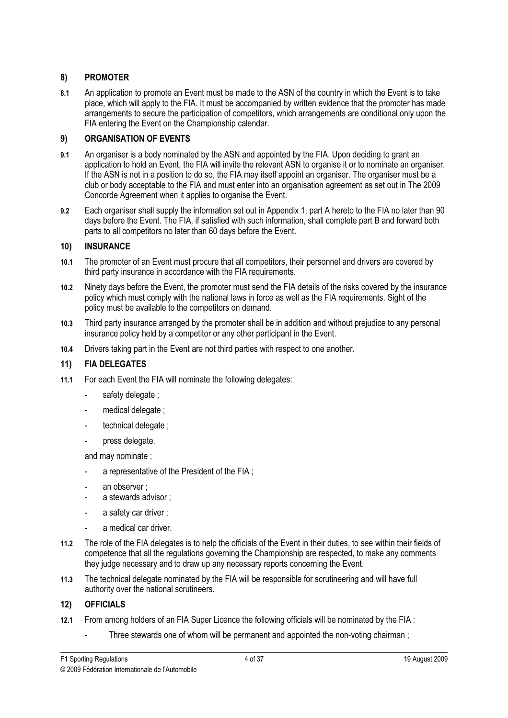### **PROMOTER**

8) PROMOTER 8.1 An application to promote an Event must be made to the ASN of the country in which the Event is to take place, which will apply to the FIA. It must be accompanied by written evidence that the promoter has made arrangements to secure the participation of competitors, which arrangements are conditional only upon the FIA entering the Event on the Championship calendar.

### **ORGANISATION OF EVENTS**  $9)$

- 9) ORGANISATION OF EVENTS 9.1 An organiser is a body nominated by the ASN and appointed by the FIA. Upon deciding to grant an application to hold an Event, the FIA will invite the relevant ASN to organise it or to nominate an organiser. If the ASN is not in a position to do so, the FIA may itself appoint an organiser. The organiser must be a club or body acceptable to the FIA and must enter into an organisation agreement as set out in The 2009 Concorde Agreement when it applies to organise the Event.
- 9.2 Each organiser shall supply the information set out in Appendix 1, part A hereto to the FIA no later than 90 days before the Event. The FIA, if satisfied with such information, shall complete part B and forward both parts to all competitors no later than 60 days before the Event.

### **INSURANCE**

- 11) Insurance 10.1 The promoter of an Event must procure that all competitors, their personnel and drivers are covered by third party insurance in accordance with the FIA requirements.
- 10.2 Ninety days before the Event, the promoter must send the FIA details of the risks covered by the insurance policy which must comply with the national laws in force as well as the FIA requirements. Sight of the policy must be available to the competitors on demand.
- 10.3 Third party insurance arranged by the promoter shall be in addition and without prejudice to any personal insurance policy held by a competitor or any other participant in the Event.
- 10.4 Drivers taking part in the Event are not third parties with respect to one another.

#### $11)$ **FIA DELEGATES**

- 11) FIA DELEGATES<br>FIA DELEGATES 11.1 For each Event the FIA will nominate the following delegates:
	- safety delegate :
	- medical delegate ;
	- technical delegate :
	- press delegate.

and may nominate :

- a representative of the President of the FIA :
- an observer :
- a stewards advisor :
- a safety car driver :
- a medical car driver.
- 11.2 The role of the FIA delegates is to help the officials of the Event in their duties, to see within their fields of competence that all the regulations governing the Championship are respected, to make any comments they judge necessary and to draw up any necessary reports concerning the Event.
- 11.3 The technical delegate nominated by the FIA will be responsible for scrutineering and will have full authority over the national scrutineers.

# 12) OFFICIALS

- 12.1 From among holders of an FIA Super Licence the following officials will be nominated by the FIA :
	- Three stewards one of whom will be permanent and appointed the non-voting chairman;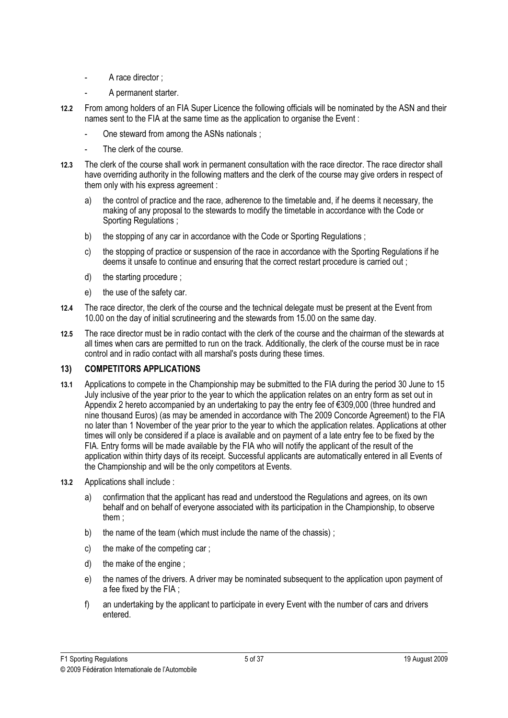- A race director :
- A permanent starter.
- 12.2 From among holders of an FIA Super Licence the following officials will be nominated by the ASN and their names sent to the FIA at the same time as the application to organise the Event :
	- One steward from among the ASNs nationals :
	- The clerk of the course.
- 12.3 The clerk of the course shall work in permanent consultation with the race director. The race director shall have overriding authority in the following matters and the clerk of the course may give orders in respect of them only with his express agreement :
	- a) the control of practice and the race, adherence to the timetable and, if he deems it necessary, the making of any proposal to the stewards to modify the timetable in accordance with the Code or Sporting Regulations :
	- b) the stopping of any car in accordance with the Code or Sporting Regulations :
	- c) the stopping of practice or suspension of the race in accordance with the Sporting Regulations if he deems it unsafe to continue and ensuring that the correct restart procedure is carried out ;
	- d) the starting procedure ;
	- e) the use of the safety car.
- 12.4 The race director, the clerk of the course and the technical delegate must be present at the Event from 10.00 on the day of initial scrutineering and the stewards from 15.00 on the same day.
- 12.5 The race director must be in radio contact with the clerk of the course and the chairman of the stewards at all times when cars are permitted to run on the track. Additionally, the clerk of the course must be in race control and in radio contact with all marshal's posts during these times.

### **COMPETITORS APPLICATIONS**

- 13) COMPETITORS APPLICATIONS 13.1 Applications to compete in the Championship may be submitted to the FIA during the period 30 June to 15 July inclusive of the year prior to the year to which the application relates on an entry form as set out in Appendix 2 hereto accompanied by an undertaking to pay the entry fee of €309,000 (three hundred and nine thousand Euros) (as may be amended in accordance with The 2009 Concorde Agreement) to the FIA no later than 1 November of the year prior to the year to which the application relates. Applications at other times will only be considered if a place is available and on payment of a late entry fee to be fixed by the FIA. Entry forms will be made available by the FIA who will notify the applicant of the result of the application within thirty days of its receipt. Successful applicants are automatically entered in all Events of the Championship and will be the only competitors at Events.
- 13.2 Applications shall include :
	- a) confirmation that the applicant has read and understood the Regulations and agrees, on its own behalf and on behalf of everyone associated with its participation in the Championship, to observe them ;
	- b) the name of the team (which must include the name of the chassis) :
	- c) the make of the competing car ;
	- d) the make of the engine ;
	- e) the names of the drivers. A driver may be nominated subsequent to the application upon payment of a fee fixed by the FIA ;
	- f) an undertaking by the applicant to participate in every Event with the number of cars and drivers entered.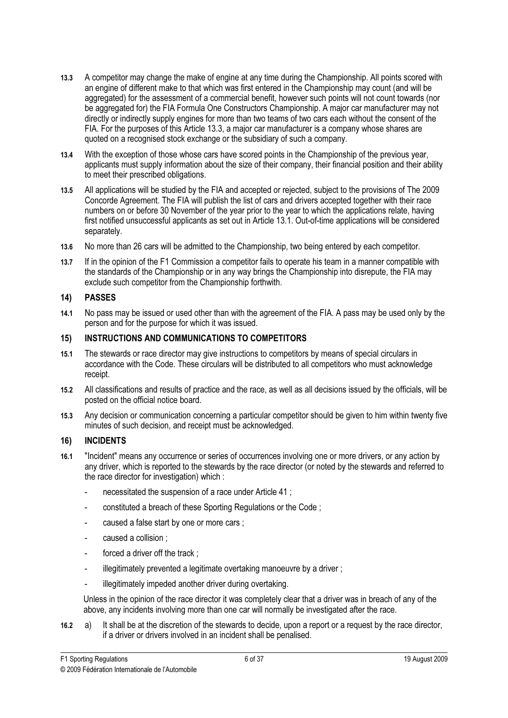- 13.3 A competitor may change the make of engine at any time during the Championship. All points scored with an engine of different make to that which was first entered in the Championship may count (and will be aggregated) for the assessment of a commercial benefit, however such points will not count towards (nor be aggregated for) the FIA Formula One Constructors Championship. A major car manufacturer may not directly or indirectly supply engines for more than two teams of two cars each without the consent of the FIA. For the purposes of this Article 13.3, a major car manufacturer is a company whose shares are quoted on a recognised stock exchange or the subsidiary of such a company.
- 13.4 With the exception of those whose cars have scored points in the Championship of the previous year, applicants must supply information about the size of their company, their financial position and their ability to meet their prescribed obligations.
- 13.5 All applications will be studied by the FIA and accepted or rejected, subject to the provisions of The 2009 Concorde Agreement. The FIA will publish the list of cars and drivers accepted together with their race numbers on or before 30 November of the year prior to the year to which the applications relate, having first notified unsuccessful applicants as set out in Article 13.1. Out-of-time applications will be considered separately.
- 13.6 No more than 26 cars will be admitted to the Championship, two being entered by each competitor.
- 13.7 If in the opinion of the F1 Commission a competitor fails to operate his team in a manner compatible with the standards of the Championship or in any way brings the Championship into disrepute, the FIA may exclude such competitor from the Championship forthwith.

#### $14)$ **PASSES**

14) PASSES<br>Passes 14.1 No pass may be issued or used other than with the agreement of the FIA. A pass may be used only by the person and for the purpose for which it was issued.

### $15)$

- 15) INSTRUCTIONS AND COMMUNICATIONS TO COMPETITORS 15.1 The stewards or race director may give instructions to competitors by means of special circulars in accordance with the Code. These circulars will be distributed to all competitors who must acknowledge receipt.
- 15.2 All classifications and results of practice and the race, as well as all decisions issued by the officials, will be posted on the official notice board.
- 15.3 Any decision or communication concerning a particular competitor should be given to him within twenty five minutes of such decision, and receipt must be acknowledged.

### **INCIDENTS**

- 16) Incidents and the second second second second second second second second second second second second seco<br>The second second second second second second second second second second second second second second second s 16.1 "Incident" means any occurrence or series of occurrences involving one or more drivers, or any action by any driver, which is reported to the stewards by the race director (or noted by the stewards and referred to the race director for investigation) which :
	- necessitated the suspension of a race under Article 41 ;
	- constituted a breach of these Sporting Regulations or the Code ;
	- caused a false start by one or more cars :
	- caused a collision ;
	- forced a driver off the track :
	- illegitimately prevented a legitimate overtaking manoeuvre by a driver;
	- illegitimately impeded another driver during overtaking.

 Unless in the opinion of the race director it was completely clear that a driver was in breach of any of the above, any incidents involving more than one car will normally be investigated after the race.

16.2 a) It shall be at the discretion of the stewards to decide, upon a report or a request by the race director, if a driver or drivers involved in an incident shall be penalised.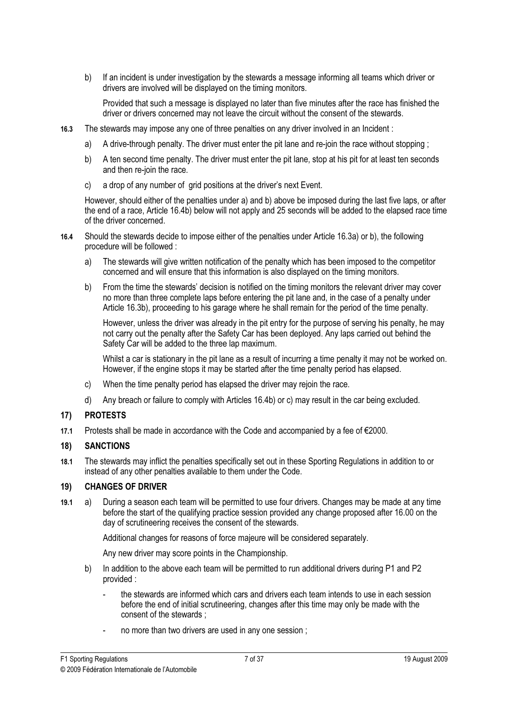b) If an incident is under investigation by the stewards a message informing all teams which driver or drivers are involved will be displayed on the timing monitors.

 Provided that such a message is displayed no later than five minutes after the race has finished the driver or drivers concerned may not leave the circuit without the consent of the stewards.

- 16.3 The stewards may impose any one of three penalties on any driver involved in an Incident :
	- a) A drive-through penalty. The driver must enter the pit lane and re-join the race without stopping ;
	- b) A ten second time penalty. The driver must enter the pit lane, stop at his pit for at least ten seconds and then re-join the race.
	- c) a drop of any number of grid positions at the driver's next Event.

 However, should either of the penalties under a) and b) above be imposed during the last five laps, or after the end of a race, Article 16.4b) below will not apply and 25 seconds will be added to the elapsed race time of the driver concerned.

- 16.4 Should the stewards decide to impose either of the penalties under Article 16.3a) or b), the following procedure will be followed :
	- a) The stewards will give written notification of the penalty which has been imposed to the competitor concerned and will ensure that this information is also displayed on the timing monitors.
	- b) From the time the stewards' decision is notified on the timing monitors the relevant driver may cover no more than three complete laps before entering the pit lane and, in the case of a penalty under Article 16.3b), proceeding to his garage where he shall remain for the period of the time penalty.

 However, unless the driver was already in the pit entry for the purpose of serving his penalty, he may not carry out the penalty after the Safety Car has been deployed. Any laps carried out behind the Safety Car will be added to the three lap maximum.

 Whilst a car is stationary in the pit lane as a result of incurring a time penalty it may not be worked on. However, if the engine stops it may be started after the time penalty period has elapsed.

- c) When the time penalty period has elapsed the driver may rejoin the race.
- d) Any breach or failure to comply with Articles 16.4b) or c) may result in the car being excluded.

### **PROTESTS**

17) PROTESTS<br>PROTESTS 17.1 Protests shall be made in accordance with the Code and accompanied by a fee of €2000.

#### **SANCTIONS**  $18<sub>1</sub>$

18) SANCTIONS 18.1 The stewards may inflict the penalties specifically set out in these Sporting Regulations in addition to or instead of any other penalties available to them under the Code.

#### **CHANGES OF DRIVER**  $19<sub>l</sub>$

19) CHANGES OF DRIVER 19.1 a) During a season each team will be permitted to use four drivers. Changes may be made at any time before the start of the qualifying practice session provided any change proposed after 16.00 on the day of scrutineering receives the consent of the stewards.

Additional changes for reasons of force majeure will be considered separately.

Any new driver may score points in the Championship.

- b) In addition to the above each team will be permitted to run additional drivers during P1 and P2 provided :
	- the stewards are informed which cars and drivers each team intends to use in each session before the end of initial scrutineering, changes after this time may only be made with the consent of the stewards ;
	- no more than two drivers are used in any one session;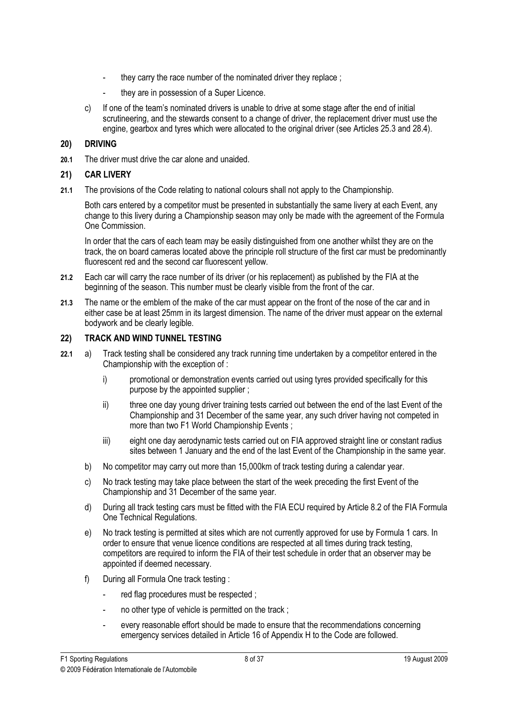- they carry the race number of the nominated driver they replace :
- they are in possession of a Super Licence.
- c) If one of the team's nominated drivers is unable to drive at some stage after the end of initial scrutineering, and the stewards consent to a change of driver, the replacement driver must use the engine, gearbox and tyres which were allocated to the original driver (see Articles 25.3 and 28.4).

20) DRIVING 20.1 The driver must drive the car alone and unaided.

### **CAR LIVERY**  $21)$

21) CAR LIVERY<br>2010 - Carlos Carlos 21.1 The provisions of the Code relating to national colours shall not apply to the Championship.

Both cars entered by a competitor must be presented in substantially the same livery at each Event, any change to this livery during a Championship season may only be made with the agreement of the Formula One Commission.

In order that the cars of each team may be easily distinguished from one another whilst they are on the track, the on board cameras located above the principle roll structure of the first car must be predominantly fluorescent red and the second car fluorescent yellow.

- 21.2 Each car will carry the race number of its driver (or his replacement) as published by the FIA at the beginning of the season. This number must be clearly visible from the front of the car.
- 21.3 The name or the emblem of the make of the car must appear on the front of the nose of the car and in either case be at least 25mm in its largest dimension. The name of the driver must appear on the external bodywork and be clearly legible.

### **TRACK AND WIND TUNNEL TESTING**  $22)$

- 22) TRACK AND WIND TUNNEL TESTING AND INDUCED IN THE UNION OF THE UNION OF THE UNION OF THE UNION OF THE UNION 22.1 a) Track testing shall be considered any track running time undertaken by a competitor entered in the Championship with the exception of :
	- i) promotional or demonstration events carried out using tyres provided specifically for this purpose by the appointed supplier ;
	- ii) three one day young driver training tests carried out between the end of the last Event of the Championship and 31 December of the same year, any such driver having not competed in more than two F1 World Championship Events ;
	- iii) eight one day aerodynamic tests carried out on FIA approved straight line or constant radius sites between 1 January and the end of the last Event of the Championship in the same year.
	- b) No competitor may carry out more than 15,000km of track testing during a calendar year.
	- c) No track testing may take place between the start of the week preceding the first Event of the Championship and 31 December of the same year.
	- d) During all track testing cars must be fitted with the FIA ECU required by Article 8.2 of the FIA Formula One Technical Regulations.
	- e) No track testing is permitted at sites which are not currently approved for use by Formula 1 cars. In order to ensure that venue licence conditions are respected at all times during track testing, competitors are required to inform the FIA of their test schedule in order that an observer may be appointed if deemed necessary.
	- f) During all Formula One track testing :
		- red flag procedures must be respected ;
		- no other type of vehicle is permitted on the track;
		- every reasonable effort should be made to ensure that the recommendations concerning emergency services detailed in Article 16 of Appendix H to the Code are followed.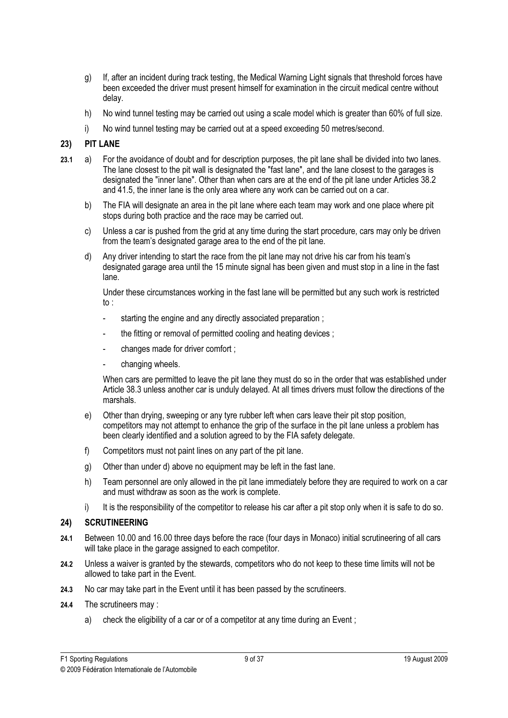- g) If, after an incident during track testing, the Medical Warning Light signals that threshold forces have been exceeded the driver must present himself for examination in the circuit medical centre without delay.
- h) No wind tunnel testing may be carried out using a scale model which is greater than 60% of full size.
- i) No wind tunnel testing may be carried out at a speed exceeding 50 metres/second.

### **PIT LANE**

- 23) PIT LANE 23.1 a) For the avoidance of doubt and for description purposes, the pit lane shall be divided into two lanes. The lane closest to the pit wall is designated the "fast lane", and the lane closest to the garages is designated the "inner lane". Other than when cars are at the end of the pit lane under Articles 38.2 and 41.5, the inner lane is the only area where any work can be carried out on a car.
	- b) The FIA will designate an area in the pit lane where each team may work and one place where pit stops during both practice and the race may be carried out.
	- c) Unless a car is pushed from the grid at any time during the start procedure, cars may only be driven from the team's designated garage area to the end of the pit lane.
	- d) Any driver intending to start the race from the pit lane may not drive his car from his team's designated garage area until the 15 minute signal has been given and must stop in a line in the fast lane.

 Under these circumstances working in the fast lane will be permitted but any such work is restricted to :

- starting the engine and any directly associated preparation ;
- the fitting or removal of permitted cooling and heating devices :
- changes made for driver comfort ;
- changing wheels.

When cars are permitted to leave the pit lane they must do so in the order that was established under Article 38.3 unless another car is unduly delayed. At all times drivers must follow the directions of the marshals.

- e) Other than drying, sweeping or any tyre rubber left when cars leave their pit stop position, competitors may not attempt to enhance the grip of the surface in the pit lane unless a problem has been clearly identified and a solution agreed to by the FIA safety delegate.
- f) Competitors must not paint lines on any part of the pit lane.
- g) Other than under d) above no equipment may be left in the fast lane.
- h) Team personnel are only allowed in the pit lane immediately before they are required to work on a car and must withdraw as soon as the work is complete.
- i) It is the responsibility of the competitor to release his car after a pit stop only when it is safe to do so.

#### $24)$ **SCRUTINFFRING**

- $\overline{a}$ , scrutingering 24.1 Between 10.00 and 16.00 three days before the race (four days in Monaco) initial scrutineering of all cars will take place in the garage assigned to each competitor.
- 24.2 Unless a waiver is granted by the stewards, competitors who do not keep to these time limits will not be allowed to take part in the Event.
- 24.3 No car may take part in the Event until it has been passed by the scrutineers.
- 24.4 The scrutineers may :
	- a) check the eligibility of a car or of a competitor at any time during an Event;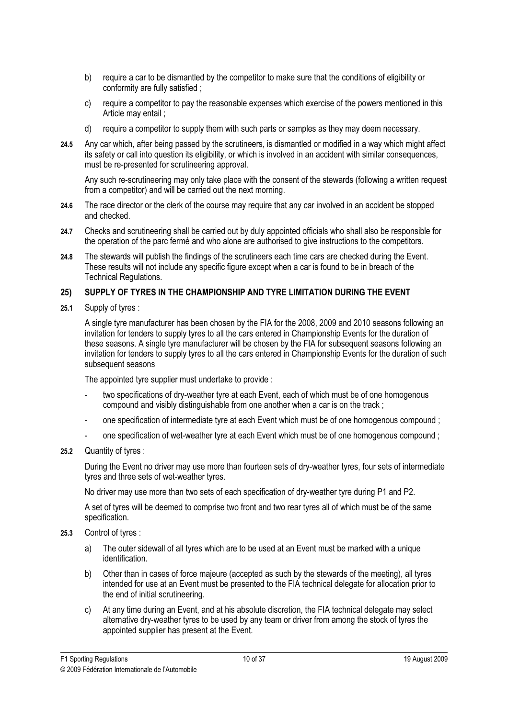- b) require a car to be dismantled by the competitor to make sure that the conditions of eligibility or conformity are fully satisfied ;
- c) require a competitor to pay the reasonable expenses which exercise of the powers mentioned in this Article may entail ;
- d) require a competitor to supply them with such parts or samples as they may deem necessary.
- 24.5 Any car which, after being passed by the scrutineers, is dismantled or modified in a way which might affect its safety or call into question its eligibility, or which is involved in an accident with similar consequences, must be re-presented for scrutineering approval.

 Any such re-scrutineering may only take place with the consent of the stewards (following a written request from a competitor) and will be carried out the next morning.

- 24.6 The race director or the clerk of the course may require that any car involved in an accident be stopped and checked.
- 24.7 Checks and scrutineering shall be carried out by duly appointed officials who shall also be responsible for the operation of the parc fermé and who alone are authorised to give instructions to the competitors.
- 24.8 The stewards will publish the findings of the scrutineers each time cars are checked during the Event. These results will not include any specific figure except when a car is found to be in breach of the Technical Regulations.

### SUPPLY OF TYRES IN THE CHAMPIONSHIP AND TYRE LIMITATION DURING THE EVENT  $25)$ 25) SUPPLY OF TYRES IN THE CHAMPIONSHIP AND TYRE LIMITATION DURING THE EVENT

25.1 Supply of tyres :

A single tyre manufacturer has been chosen by the FIA for the 2008, 2009 and 2010 seasons following an invitation for tenders to supply tyres to all the cars entered in Championship Events for the duration of these seasons. A single tyre manufacturer will be chosen by the FIA for subsequent seasons following an invitation for tenders to supply tyres to all the cars entered in Championship Events for the duration of such subsequent seasons

The appointed tyre supplier must undertake to provide :

- two specifications of dry-weather tyre at each Event, each of which must be of one homogenous compound and visibly distinguishable from one another when a car is on the track ;
- one specification of intermediate tyre at each Event which must be of one homogenous compound ;
- one specification of wet-weather tyre at each Event which must be of one homogenous compound :
- 25.2 Quantity of tyres :

 During the Event no driver may use more than fourteen sets of dry-weather tyres, four sets of intermediate tyres and three sets of wet-weather tyres.

No driver may use more than two sets of each specification of dry-weather tyre during P1 and P2.

 A set of tyres will be deemed to comprise two front and two rear tyres all of which must be of the same specification.

- 25.3 Control of tyres :
	- a) The outer sidewall of all tyres which are to be used at an Event must be marked with a unique identification.
	- b) Other than in cases of force majeure (accepted as such by the stewards of the meeting), all tyres intended for use at an Event must be presented to the FIA technical delegate for allocation prior to the end of initial scrutineering.
	- c) At any time during an Event, and at his absolute discretion, the FIA technical delegate may select alternative dry-weather tyres to be used by any team or driver from among the stock of tyres the appointed supplier has present at the Event.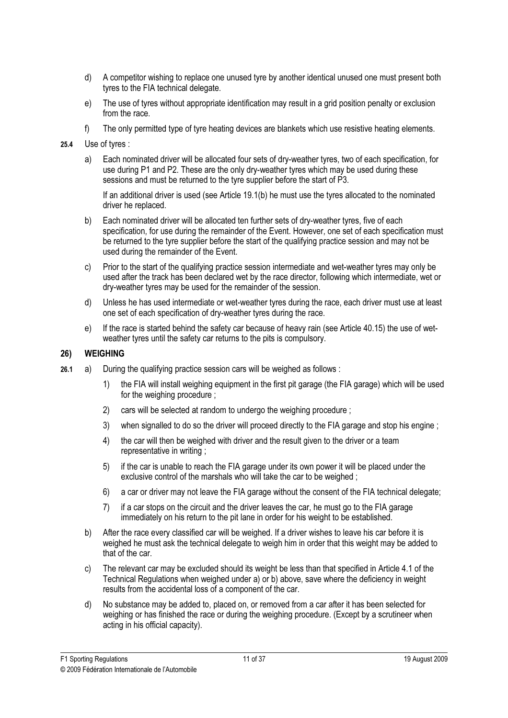- d) A competitor wishing to replace one unused tyre by another identical unused one must present both tyres to the FIA technical delegate.
- e) The use of tyres without appropriate identification may result in a grid position penalty or exclusion from the race.
- f) The only permitted type of tyre heating devices are blankets which use resistive heating elements.
- 25.4 Use of tyres :
	- a) Each nominated driver will be allocated four sets of dry-weather tyres, two of each specification, for use during P1 and P2. These are the only dry-weather tyres which may be used during these sessions and must be returned to the tyre supplier before the start of P3.

 If an additional driver is used (see Article 19.1(b) he must use the tyres allocated to the nominated driver he replaced.

- b) Each nominated driver will be allocated ten further sets of dry-weather tyres, five of each specification, for use during the remainder of the Event. However, one set of each specification must be returned to the tyre supplier before the start of the qualifying practice session and may not be used during the remainder of the Event.
- c) Prior to the start of the qualifying practice session intermediate and wet-weather tyres may only be used after the track has been declared wet by the race director, following which intermediate, wet or dry-weather tyres may be used for the remainder of the session.
- d) Unless he has used intermediate or wet-weather tyres during the race, each driver must use at least one set of each specification of dry-weather tyres during the race.
- e) If the race is started behind the safety car because of heavy rain (see Article 40.15) the use of wetweather tyres until the safety car returns to the pits is compulsory.

### $26)$

- 26) WEIGHT 26.1 a) During the qualifying practice session cars will be weighed as follows :
	- 1) the FIA will install weighing equipment in the first pit garage (the FIA garage) which will be used for the weighing procedure :
	- 2) cars will be selected at random to undergo the weighing procedure ;
	- 3) when signalled to do so the driver will proceed directly to the FIA garage and stop his engine ;
	- 4) the car will then be weighed with driver and the result given to the driver or a team representative in writing ;
	- 5) if the car is unable to reach the FIA garage under its own power it will be placed under the exclusive control of the marshals who will take the car to be weighed ;
	- 6) a car or driver may not leave the FIA garage without the consent of the FIA technical delegate;
	- 7) if a car stops on the circuit and the driver leaves the car, he must go to the FIA garage immediately on his return to the pit lane in order for his weight to be established.
	- b) After the race every classified car will be weighed. If a driver wishes to leave his car before it is weighed he must ask the technical delegate to weigh him in order that this weight may be added to that of the car.
	- c) The relevant car may be excluded should its weight be less than that specified in Article 4.1 of the Technical Regulations when weighed under a) or b) above, save where the deficiency in weight results from the accidental loss of a component of the car.
	- d) No substance may be added to, placed on, or removed from a car after it has been selected for weighing or has finished the race or during the weighing procedure. (Except by a scrutineer when acting in his official capacity).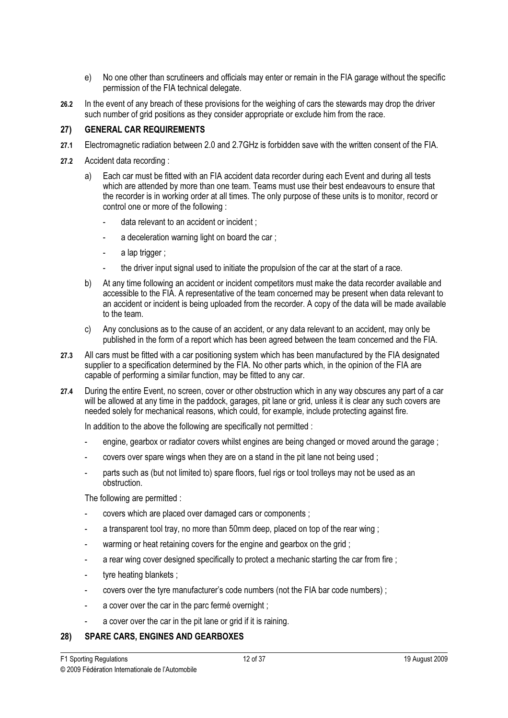- e) No one other than scrutineers and officials may enter or remain in the FIA garage without the specific permission of the FIA technical delegate.
- 26.2 In the event of any breach of these provisions for the weighing of cars the stewards may drop the driver such number of grid positions as they consider appropriate or exclude him from the race.

### $27)$ **GENERAL CAR REQUIREMENTS**

- 27) GENERAL CAR REQUIREMENTS 27.1 Electromagnetic radiation between 2.0 and 2.7GHz is forbidden save with the written consent of the FIA.
- 27.2 Accident data recording :
	- a) Each car must be fitted with an FIA accident data recorder during each Event and during all tests which are attended by more than one team. Teams must use their best endeavours to ensure that the recorder is in working order at all times. The only purpose of these units is to monitor, record or control one or more of the following :
		- data relevant to an accident or incident ;
		- a deceleration warning light on board the car ;
		- a lap trigger;
		- the driver input signal used to initiate the propulsion of the car at the start of a race.
	- b) At any time following an accident or incident competitors must make the data recorder available and accessible to the FIA. A representative of the team concerned may be present when data relevant to an accident or incident is being uploaded from the recorder. A copy of the data will be made available to the team.
	- c) Any conclusions as to the cause of an accident, or any data relevant to an accident, may only be published in the form of a report which has been agreed between the team concerned and the FIA.
- 27.3 All cars must be fitted with a car positioning system which has been manufactured by the FIA designated supplier to a specification determined by the FIA. No other parts which, in the opinion of the FIA are capable of performing a similar function, may be fitted to any car.
- 27.4 During the entire Event, no screen, cover or other obstruction which in any way obscures any part of a car will be allowed at any time in the paddock, garages, pit lane or grid, unless it is clear any such covers are needed solely for mechanical reasons, which could, for example, include protecting against fire.

In addition to the above the following are specifically not permitted :

- engine, gearbox or radiator covers whilst engines are being changed or moved around the garage;
- covers over spare wings when they are on a stand in the pit lane not being used;
- parts such as (but not limited to) spare floors, fuel rigs or tool trolleys may not be used as an obstruction.

The following are permitted :

- covers which are placed over damaged cars or components ;
- a transparent tool tray, no more than 50mm deep, placed on top of the rear wing;
- warming or heat retaining covers for the engine and gearbox on the grid;
- a rear wing cover designed specifically to protect a mechanic starting the car from fire :
- tyre heating blankets ;
- covers over the tyre manufacturer's code numbers (not the FIA bar code numbers) ;
- a cover over the car in the parc fermé overnight :
- a cover over the car in the pit lane or grid if it is raining.

# 28) SPARE CARS, ENGINES AND GEARBOXES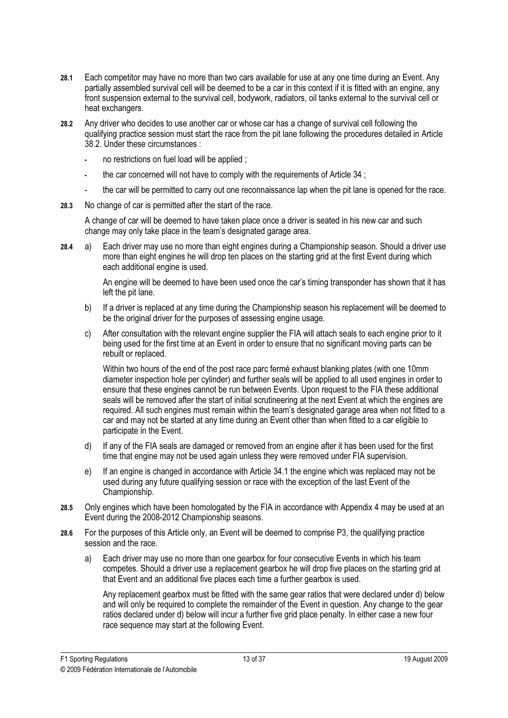- 28.1 Each competitor may have no more than two cars available for use at any one time during an Event. Any partially assembled survival cell will be deemed to be a car in this context if it is fitted with an engine, any front suspension external to the survival cell, bodywork, radiators, oil tanks external to the survival cell or heat exchangers.
- 28.2 Any driver who decides to use another car or whose car has a change of survival cell following the qualifying practice session must start the race from the pit lane following the procedures detailed in Article 38.2. Under these circumstances :
	- no restrictions on fuel load will be applied :
	- the car concerned will not have to comply with the requirements of Article 34 ;
	- the car will be permitted to carry out one reconnaissance lap when the pit lane is opened for the race.
- 28.3 No change of car is permitted after the start of the race.

 A change of car will be deemed to have taken place once a driver is seated in his new car and such change may only take place in the team's designated garage area.

28.4 a) Each driver may use no more than eight engines during a Championship season. Should a driver use more than eight engines he will drop ten places on the starting grid at the first Event during which each additional engine is used.

> An engine will be deemed to have been used once the car's timing transponder has shown that it has left the pit lane.

- b) If a driver is replaced at any time during the Championship season his replacement will be deemed to be the original driver for the purposes of assessing engine usage.
- c) After consultation with the relevant engine supplier the FIA will attach seals to each engine prior to it being used for the first time at an Event in order to ensure that no significant moving parts can be rebuilt or replaced.

 Within two hours of the end of the post race parc fermé exhaust blanking plates (with one 10mm diameter inspection hole per cylinder) and further seals will be applied to all used engines in order to ensure that these engines cannot be run between Events. Upon request to the FIA these additional seals will be removed after the start of initial scrutineering at the next Event at which the engines are required. All such engines must remain within the team's designated garage area when not fitted to a car and may not be started at any time during an Event other than when fitted to a car eligible to participate in the Event.

- d) If any of the FIA seals are damaged or removed from an engine after it has been used for the first time that engine may not be used again unless they were removed under FIA supervision.
- e) If an engine is changed in accordance with Article 34.1 the engine which was replaced may not be used during any future qualifying session or race with the exception of the last Event of the Championship.
- 28.5 Only engines which have been homologated by the FIA in accordance with Appendix 4 may be used at an Event during the 2008-2012 Championship seasons.
- 28.6 For the purposes of this Article only, an Event will be deemed to comprise P3, the qualifying practice session and the race.
	- a) Each driver may use no more than one gearbox for four consecutive Events in which his team competes. Should a driver use a replacement gearbox he will drop five places on the starting grid at that Event and an additional five places each time a further gearbox is used.

 Any replacement gearbox must be fitted with the same gear ratios that were declared under d) below and will only be required to complete the remainder of the Event in question. Any change to the gear ratios declared under d) below will incur a further five grid place penalty. In either case a new four race sequence may start at the following Event.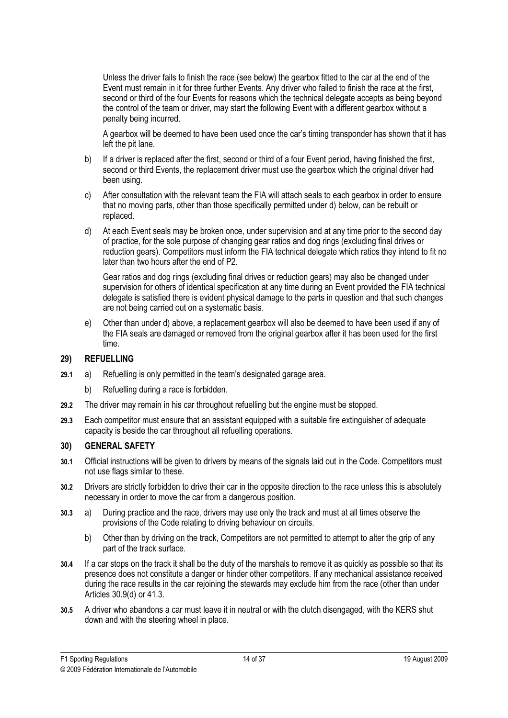Unless the driver fails to finish the race (see below) the gearbox fitted to the car at the end of the Event must remain in it for three further Events. Any driver who failed to finish the race at the first, second or third of the four Events for reasons which the technical delegate accepts as being beyond the control of the team or driver, may start the following Event with a different gearbox without a penalty being incurred.

 A gearbox will be deemed to have been used once the car's timing transponder has shown that it has left the pit lane.

- b) If a driver is replaced after the first, second or third of a four Event period, having finished the first, second or third Events, the replacement driver must use the gearbox which the original driver had been using.
- c) After consultation with the relevant team the FIA will attach seals to each gearbox in order to ensure that no moving parts, other than those specifically permitted under d) below, can be rebuilt or replaced.
- d) At each Event seals may be broken once, under supervision and at any time prior to the second day of practice, for the sole purpose of changing gear ratios and dog rings (excluding final drives or reduction gears). Competitors must inform the FIA technical delegate which ratios they intend to fit no later than two hours after the end of P2.

 Gear ratios and dog rings (excluding final drives or reduction gears) may also be changed under supervision for others of identical specification at any time during an Event provided the FIA technical delegate is satisfied there is evident physical damage to the parts in question and that such changes are not being carried out on a systematic basis.

 e) Other than under d) above, a replacement gearbox will also be deemed to have been used if any of the FIA seals are damaged or removed from the original gearbox after it has been used for the first time.

### **REFUELLING**

- 29) REFUELLING<br>Refugees 29.1 a) Refuelling is only permitted in the team's designated garage area.
	- b) Refuelling during a race is forbidden.
- 29.2 The driver may remain in his car throughout refuelling but the engine must be stopped.
- 29.3 Each competitor must ensure that an assistant equipped with a suitable fire extinguisher of adequate capacity is beside the car throughout all refuelling operations.

#### **GENERAL SAFETY**  $30<sub>1</sub>$

- $\frac{30}{2}$ 30.1 Official instructions will be given to drivers by means of the signals laid out in the Code. Competitors must not use flags similar to these.
- 30.2 Drivers are strictly forbidden to drive their car in the opposite direction to the race unless this is absolutely necessary in order to move the car from a dangerous position.
- 30.3 a) During practice and the race, drivers may use only the track and must at all times observe the provisions of the Code relating to driving behaviour on circuits.
	- b) Other than by driving on the track, Competitors are not permitted to attempt to alter the grip of any part of the track surface.
- 30.4 If a car stops on the track it shall be the duty of the marshals to remove it as quickly as possible so that its presence does not constitute a danger or hinder other competitors. If any mechanical assistance received during the race results in the car rejoining the stewards may exclude him from the race (other than under Articles 30.9(d) or 41.3.
- 30.5 A driver who abandons a car must leave it in neutral or with the clutch disengaged, with the KERS shut down and with the steering wheel in place.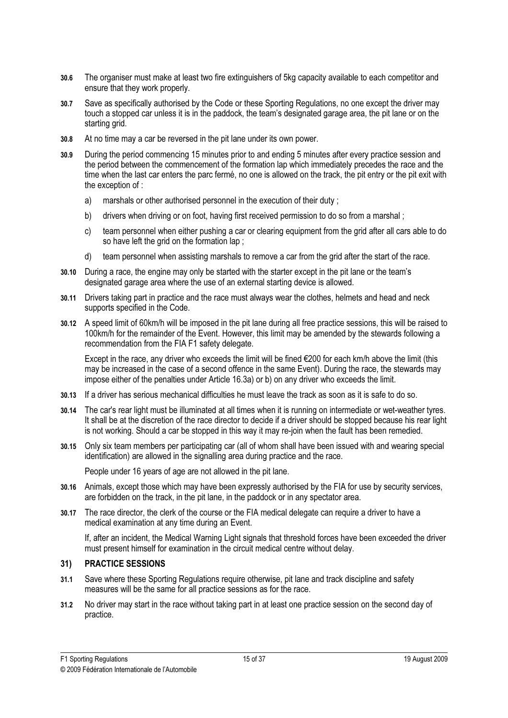- 30.6 The organiser must make at least two fire extinguishers of 5kg capacity available to each competitor and ensure that they work properly.
- 30.7 Save as specifically authorised by the Code or these Sporting Regulations, no one except the driver may touch a stopped car unless it is in the paddock, the team's designated garage area, the pit lane or on the starting grid.
- 30.8 At no time may a car be reversed in the pit lane under its own power.
- 30.9 During the period commencing 15 minutes prior to and ending 5 minutes after every practice session and the period between the commencement of the formation lap which immediately precedes the race and the time when the last car enters the parc fermé, no one is allowed on the track, the pit entry or the pit exit with the exception of :
	- a) marshals or other authorised personnel in the execution of their duty;
	- b) drivers when driving or on foot, having first received permission to do so from a marshal:
	- c) team personnel when either pushing a car or clearing equipment from the grid after all cars able to do so have left the grid on the formation lap :
	- d) team personnel when assisting marshals to remove a car from the grid after the start of the race.
- 30.10 During a race, the engine may only be started with the starter except in the pit lane or the team's designated garage area where the use of an external starting device is allowed.
- 30.11 Drivers taking part in practice and the race must always wear the clothes, helmets and head and neck supports specified in the Code.
- 30.12 A speed limit of 60km/h will be imposed in the pit lane during all free practice sessions, this will be raised to 100km/h for the remainder of the Event. However, this limit may be amended by the stewards following a recommendation from the FIA F1 safety delegate.

 Except in the race, any driver who exceeds the limit will be fined €200 for each km/h above the limit (this may be increased in the case of a second offence in the same Event). During the race, the stewards may impose either of the penalties under Article 16.3a) or b) on any driver who exceeds the limit.

- 30.13 If a driver has serious mechanical difficulties he must leave the track as soon as it is safe to do so.
- 30.14 The car's rear light must be illuminated at all times when it is running on intermediate or wet-weather tyres. It shall be at the discretion of the race director to decide if a driver should be stopped because his rear light is not working. Should a car be stopped in this way it may re-join when the fault has been remedied.
- 30.15 Only six team members per participating car (all of whom shall have been issued with and wearing special identification) are allowed in the signalling area during practice and the race.

People under 16 years of age are not allowed in the pit lane.

- 30.16 Animals, except those which may have been expressly authorised by the FIA for use by security services, are forbidden on the track, in the pit lane, in the paddock or in any spectator area.
- 30.17 The race director, the clerk of the course or the FIA medical delegate can require a driver to have a medical examination at any time during an Event.

 If, after an incident, the Medical Warning Light signals that threshold forces have been exceeded the driver must present himself for examination in the circuit medical centre without delay.

# 31) PRACTICE SESSIONS

- 31.1 Save where these Sporting Regulations require otherwise, pit lane and track discipline and safety measures will be the same for all practice sessions as for the race.
- 31.2 No driver may start in the race without taking part in at least one practice session on the second day of practice.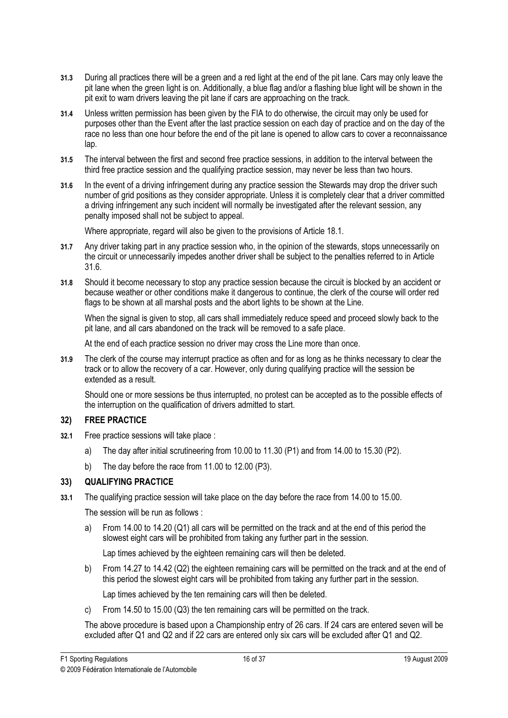- 31.3 During all practices there will be a green and a red light at the end of the pit lane. Cars may only leave the pit lane when the green light is on. Additionally, a blue flag and/or a flashing blue light will be shown in the pit exit to warn drivers leaving the pit lane if cars are approaching on the track.
- 31.4 Unless written permission has been given by the FIA to do otherwise, the circuit may only be used for purposes other than the Event after the last practice session on each day of practice and on the day of the race no less than one hour before the end of the pit lane is opened to allow cars to cover a reconnaissance lap.
- 31.5 The interval between the first and second free practice sessions, in addition to the interval between the third free practice session and the qualifying practice session, may never be less than two hours.
- 31.6 In the event of a driving infringement during any practice session the Stewards may drop the driver such number of grid positions as they consider appropriate. Unless it is completely clear that a driver committed a driving infringement any such incident will normally be investigated after the relevant session, any penalty imposed shall not be subject to appeal.

Where appropriate, regard will also be given to the provisions of Article 18.1.

- 31.7 Any driver taking part in any practice session who, in the opinion of the stewards, stops unnecessarily on the circuit or unnecessarily impedes another driver shall be subject to the penalties referred to in Article 31.6.
- 31.8 Should it become necessary to stop any practice session because the circuit is blocked by an accident or because weather or other conditions make it dangerous to continue, the clerk of the course will order red flags to be shown at all marshal posts and the abort lights to be shown at the Line.

When the signal is given to stop, all cars shall immediately reduce speed and proceed slowly back to the pit lane, and all cars abandoned on the track will be removed to a safe place.

At the end of each practice session no driver may cross the Line more than once.

31.9 The clerk of the course may interrupt practice as often and for as long as he thinks necessary to clear the track or to allow the recovery of a car. However, only during qualifying practice will the session be extended as a result.

 Should one or more sessions be thus interrupted, no protest can be accepted as to the possible effects of the interruption on the qualification of drivers admitted to start.

### **FREE PRACTICE**

- $\overline{a}$   $\overline{a}$   $\overline{a}$   $\overline{a}$   $\overline{a}$   $\overline{a}$   $\overline{a}$   $\overline{a}$   $\overline{a}$   $\overline{a}$   $\overline{a}$   $\overline{a}$   $\overline{a}$   $\overline{a}$   $\overline{a}$   $\overline{a}$   $\overline{a}$   $\overline{a}$   $\overline{a}$   $\overline{a}$   $\overline{a}$   $\overline{a}$   $\overline{a}$   $\overline{a}$   $\overline{$ 32.1 Free practice sessions will take place :
	- a) The day after initial scrutineering from 10.00 to 11.30 (P1) and from 14.00 to 15.30 (P2).
	- b) The day before the race from 11.00 to 12.00 (P3).

#### $33)$ **QUALIFYING PRACTICE**

 $\frac{3}{2}$  and  $\frac{3}{2}$  and  $\frac{3}{2}$  and  $\frac{3}{2}$ 33.1 The qualifying practice session will take place on the day before the race from 14.00 to 15.00.

The session will be run as follows :

 a) From 14.00 to 14.20 (Q1) all cars will be permitted on the track and at the end of this period the slowest eight cars will be prohibited from taking any further part in the session.

Lap times achieved by the eighteen remaining cars will then be deleted.

 b) From 14.27 to 14.42 (Q2) the eighteen remaining cars will be permitted on the track and at the end of this period the slowest eight cars will be prohibited from taking any further part in the session.

Lap times achieved by the ten remaining cars will then be deleted.

c) From 14.50 to 15.00 (Q3) the ten remaining cars will be permitted on the track.

 The above procedure is based upon a Championship entry of 26 cars. If 24 cars are entered seven will be excluded after Q1 and Q2 and if 22 cars are entered only six cars will be excluded after Q1 and Q2.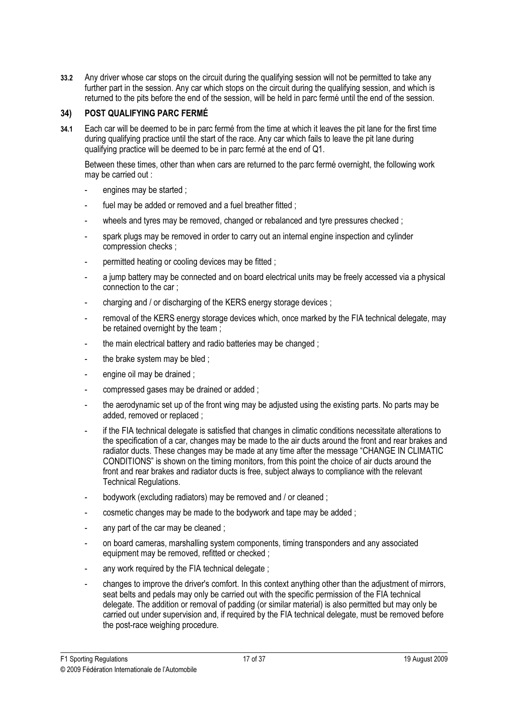33.2 Any driver whose car stops on the circuit during the qualifying session will not be permitted to take any further part in the session. Any car which stops on the circuit during the qualifying session, and which is returned to the pits before the end of the session, will be held in parc fermé until the end of the session.

### POST QUALIFYING PARC FERMÉ

34) POST QUALIFYING PARC FERMÉ 34.1 Each car will be deemed to be in parc fermé from the time at which it leaves the pit lane for the first time during qualifying practice until the start of the race. Any car which fails to leave the pit lane during qualifying practice will be deemed to be in parc fermé at the end of Q1.

Between these times, other than when cars are returned to the parc fermé overnight, the following work may be carried out :

- engines may be started ;
- fuel may be added or removed and a fuel breather fitted :
- wheels and tyres may be removed, changed or rebalanced and tyre pressures checked ;
- spark plugs may be removed in order to carry out an internal engine inspection and cylinder compression checks ;
- permitted heating or cooling devices may be fitted ;
- a jump battery may be connected and on board electrical units may be freely accessed via a physical connection to the car ;
- charging and / or discharging of the KERS energy storage devices ;
- removal of the KERS energy storage devices which, once marked by the FIA technical delegate, may be retained overnight by the team :
- the main electrical battery and radio batteries may be changed ;
- the brake system may be bled :
- engine oil may be drained :
- compressed gases may be drained or added ;
- the aerodynamic set up of the front wing may be adjusted using the existing parts. No parts may be added, removed or replaced ;
- if the FIA technical delegate is satisfied that changes in climatic conditions necessitate alterations to the specification of a car, changes may be made to the air ducts around the front and rear brakes and radiator ducts. These changes may be made at any time after the message "CHANGE IN CLIMATIC CONDITIONS" is shown on the timing monitors, from this point the choice of air ducts around the front and rear brakes and radiator ducts is free, subject always to compliance with the relevant Technical Regulations.
- bodywork (excluding radiators) may be removed and / or cleaned ;
- cosmetic changes may be made to the bodywork and tape may be added ;
- any part of the car may be cleaned :
- on board cameras, marshalling system components, timing transponders and any associated equipment may be removed, refitted or checked ;
- any work required by the FIA technical delegate :
- changes to improve the driver's comfort. In this context anything other than the adjustment of mirrors, seat belts and pedals may only be carried out with the specific permission of the FIA technical delegate. The addition or removal of padding (or similar material) is also permitted but may only be carried out under supervision and, if required by the FIA technical delegate, must be removed before the post-race weighing procedure.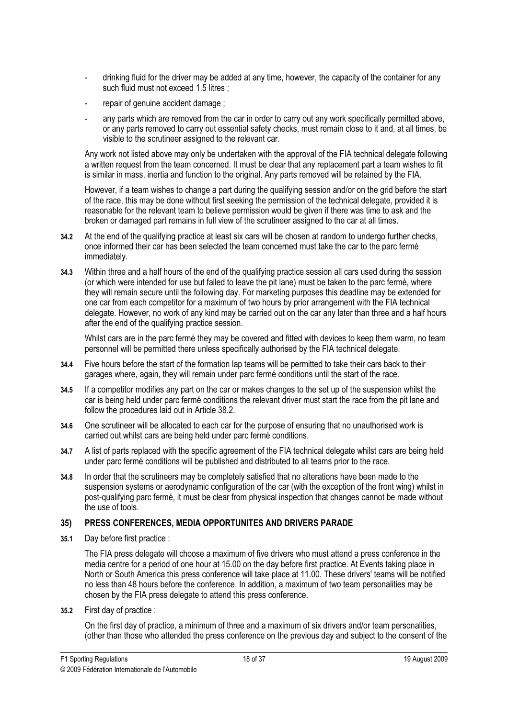- drinking fluid for the driver may be added at any time, however, the capacity of the container for any such fluid must not exceed 1.5 litres ;
- repair of genuine accident damage:
- any parts which are removed from the car in order to carry out any work specifically permitted above, or any parts removed to carry out essential safety checks, must remain close to it and, at all times, be visible to the scrutineer assigned to the relevant car.

Any work not listed above may only be undertaken with the approval of the FIA technical delegate following a written request from the team concerned. It must be clear that any replacement part a team wishes to fit is similar in mass, inertia and function to the original. Any parts removed will be retained by the FIA.

However, if a team wishes to change a part during the qualifying session and/or on the grid before the start of the race, this may be done without first seeking the permission of the technical delegate, provided it is reasonable for the relevant team to believe permission would be given if there was time to ask and the broken or damaged part remains in full view of the scrutineer assigned to the car at all times.

- 34.2 At the end of the qualifying practice at least six cars will be chosen at random to undergo further checks, once informed their car has been selected the team concerned must take the car to the parc fermé immediately.
- 34.3 Within three and a half hours of the end of the qualifying practice session all cars used during the session (or which were intended for use but failed to leave the pit lane) must be taken to the parc fermé, where they will remain secure until the following day. For marketing purposes this deadline may be extended for one car from each competitor for a maximum of two hours by prior arrangement with the FIA technical delegate. However, no work of any kind may be carried out on the car any later than three and a half hours after the end of the qualifying practice session.

 Whilst cars are in the parc fermé they may be covered and fitted with devices to keep them warm, no team personnel will be permitted there unless specifically authorised by the FIA technical delegate.

- 34.4 Five hours before the start of the formation lap teams will be permitted to take their cars back to their garages where, again, they will remain under parc fermé conditions until the start of the race.
- 34.5 If a competitor modifies any part on the car or makes changes to the set up of the suspension whilst the car is being held under parc fermé conditions the relevant driver must start the race from the pit lane and follow the procedures laid out in Article 38.2.
- 34.6 One scrutineer will be allocated to each car for the purpose of ensuring that no unauthorised work is carried out whilst cars are being held under parc fermé conditions.
- 34.7 A list of parts replaced with the specific agreement of the FIA technical delegate whilst cars are being held under parc fermé conditions will be published and distributed to all teams prior to the race.
- 34.8 In order that the scrutineers may be completely satisfied that no alterations have been made to the suspension systems or aerodynamic configuration of the car (with the exception of the front wing) whilst in post-qualifying parc fermé, it must be clear from physical inspection that changes cannot be made without the use of tools.

# 35) PRESS CONFERENCES, MEDIA OPPORTUNITES AND DRIVERS PARADE

35.1 Day before first practice :

The FIA press delegate will choose a maximum of five drivers who must attend a press conference in the media centre for a period of one hour at 15.00 on the day before first practice. At Events taking place in North or South America this press conference will take place at 11.00. These drivers' teams will be notified no less than 48 hours before the conference. In addition, a maximum of two team personalities may be chosen by the FIA press delegate to attend this press conference.

35.2 First day of practice :

On the first day of practice, a minimum of three and a maximum of six drivers and/or team personalities, (other than those who attended the press conference on the previous day and subject to the consent of the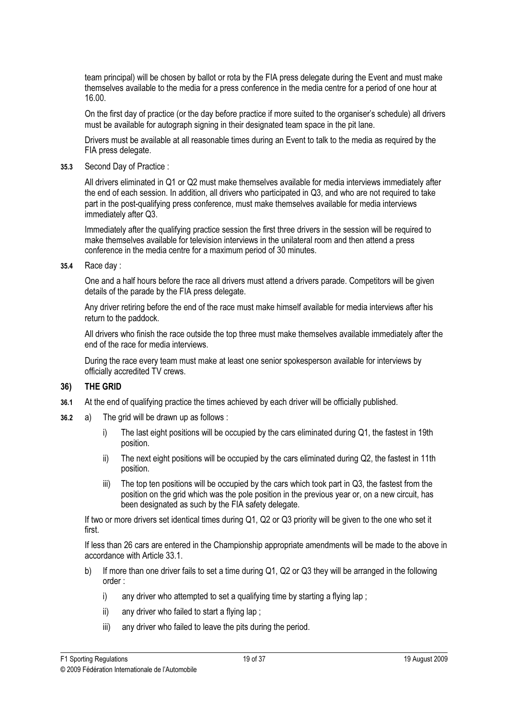team principal) will be chosen by ballot or rota by the FIA press delegate during the Event and must make themselves available to the media for a press conference in the media centre for a period of one hour at 16.00.

 On the first day of practice (or the day before practice if more suited to the organiser's schedule) all drivers must be available for autograph signing in their designated team space in the pit lane.

Drivers must be available at all reasonable times during an Event to talk to the media as required by the FIA press delegate.

35.3 Second Day of Practice :

 All drivers eliminated in Q1 or Q2 must make themselves available for media interviews immediately after the end of each session. In addition, all drivers who participated in Q3, and who are not required to take part in the post-qualifying press conference, must make themselves available for media interviews immediately after Q3.

 Immediately after the qualifying practice session the first three drivers in the session will be required to make themselves available for television interviews in the unilateral room and then attend a press conference in the media centre for a maximum period of 30 minutes.

35.4 Race day :

One and a half hours before the race all drivers must attend a drivers parade. Competitors will be given details of the parade by the FIA press delegate.

 Any driver retiring before the end of the race must make himself available for media interviews after his return to the paddock.

 All drivers who finish the race outside the top three must make themselves available immediately after the end of the race for media interviews.

 During the race every team must make at least one senior spokesperson available for interviews by officially accredited TV crews.

### THE GRID

- 36) THE GRID 36.1 At the end of qualifying practice the times achieved by each driver will be officially published.
- 36.2 a) The grid will be drawn up as follows :
	- i) The last eight positions will be occupied by the cars eliminated during Q1, the fastest in 19th position.
	- ii) The next eight positions will be occupied by the cars eliminated during Q2, the fastest in 11th position.
	- iii) The top ten positions will be occupied by the cars which took part in Q3, the fastest from the position on the grid which was the pole position in the previous year or, on a new circuit, has been designated as such by the FIA safety delegate.

 If two or more drivers set identical times during Q1, Q2 or Q3 priority will be given to the one who set it first.

 If less than 26 cars are entered in the Championship appropriate amendments will be made to the above in accordance with Article 33.1.

- b) If more than one driver fails to set a time during Q1, Q2 or Q3 they will be arranged in the following order :
	- i) any driver who attempted to set a qualifying time by starting a flying lap;
	- ii) any driver who failed to start a flying lap;
	- iii) any driver who failed to leave the pits during the period.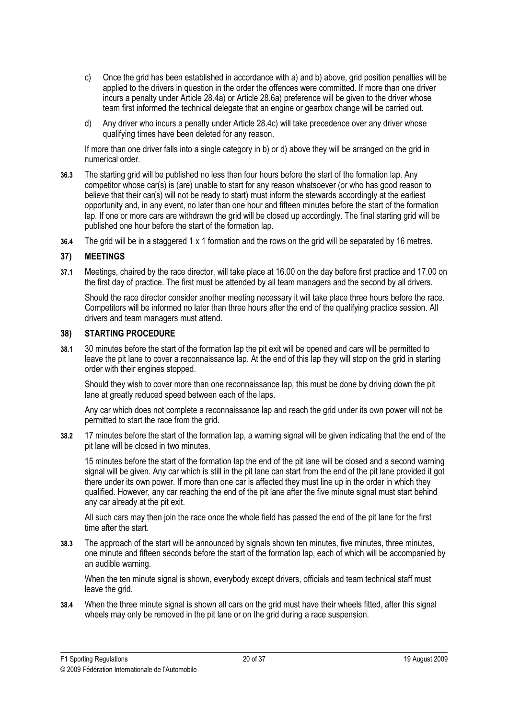- c) Once the grid has been established in accordance with a) and b) above, grid position penalties will be applied to the drivers in question in the order the offences were committed. If more than one driver incurs a penalty under Article 28.4a) or Article 28.6a) preference will be given to the driver whose team first informed the technical delegate that an engine or gearbox change will be carried out.
- d) Any driver who incurs a penalty under Article 28.4c) will take precedence over any driver whose qualifying times have been deleted for any reason.

 If more than one driver falls into a single category in b) or d) above they will be arranged on the grid in numerical order.

- 36.3 The starting grid will be published no less than four hours before the start of the formation lap. Any competitor whose car(s) is (are) unable to start for any reason whatsoever (or who has good reason to believe that their car(s) will not be ready to start) must inform the stewards accordingly at the earliest opportunity and, in any event, no later than one hour and fifteen minutes before the start of the formation lap. If one or more cars are withdrawn the grid will be closed up accordingly. The final starting grid will be published one hour before the start of the formation lap.
- 36.4 The grid will be in a staggered 1 x 1 formation and the rows on the grid will be separated by 16 metres.

### **MEETINGS**

37) MEETINGS 37.1 Meetings, chaired by the race director, will take place at 16.00 on the day before first practice and 17.00 on the first day of practice. The first must be attended by all team managers and the second by all drivers.

Should the race director consider another meeting necessary it will take place three hours before the race. Competitors will be informed no later than three hours after the end of the qualifying practice session. All drivers and team managers must attend.

#### **STARTING PROCEDURE** 38)

38) STARTING PROCEDURE 38.1 30 minutes before the start of the formation lap the pit exit will be opened and cars will be permitted to leave the pit lane to cover a reconnaissance lap. At the end of this lap they will stop on the grid in starting order with their engines stopped.

Should they wish to cover more than one reconnaissance lap, this must be done by driving down the pit lane at greatly reduced speed between each of the laps.

Any car which does not complete a reconnaissance lap and reach the grid under its own power will not be permitted to start the race from the grid.

38.2 17 minutes before the start of the formation lap, a warning signal will be given indicating that the end of the pit lane will be closed in two minutes.

15 minutes before the start of the formation lap the end of the pit lane will be closed and a second warning signal will be given. Any car which is still in the pit lane can start from the end of the pit lane provided it got there under its own power. If more than one car is affected they must line up in the order in which they qualified. However, any car reaching the end of the pit lane after the five minute signal must start behind any car already at the pit exit.

All such cars may then join the race once the whole field has passed the end of the pit lane for the first time after the start.

38.3 The approach of the start will be announced by signals shown ten minutes, five minutes, three minutes, one minute and fifteen seconds before the start of the formation lap, each of which will be accompanied by an audible warning.

When the ten minute signal is shown, everybody except drivers, officials and team technical staff must leave the grid.

38.4 When the three minute signal is shown all cars on the grid must have their wheels fitted, after this signal wheels may only be removed in the pit lane or on the grid during a race suspension.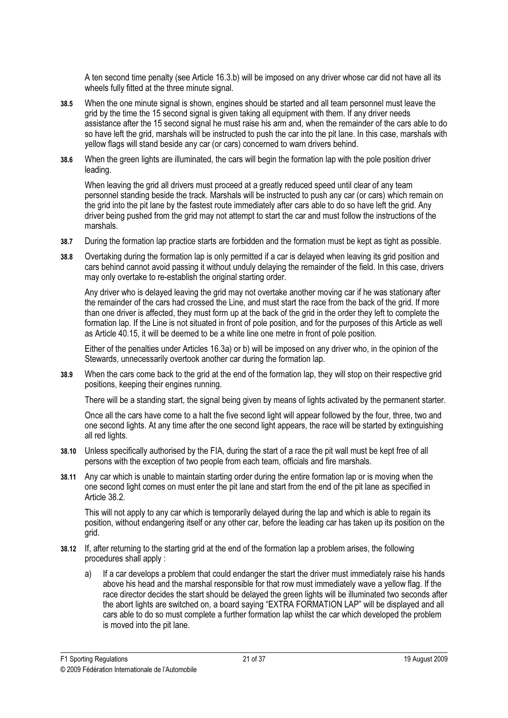A ten second time penalty (see Article 16.3.b) will be imposed on any driver whose car did not have all its wheels fully fitted at the three minute signal.

- 38.5 When the one minute signal is shown, engines should be started and all team personnel must leave the grid by the time the 15 second signal is given taking all equipment with them. If any driver needs assistance after the 15 second signal he must raise his arm and, when the remainder of the cars able to do so have left the grid, marshals will be instructed to push the car into the pit lane. In this case, marshals with yellow flags will stand beside any car (or cars) concerned to warn drivers behind.
- 38.6 When the green lights are illuminated, the cars will begin the formation lap with the pole position driver leading.

When leaving the grid all drivers must proceed at a greatly reduced speed until clear of any team personnel standing beside the track. Marshals will be instructed to push any car (or cars) which remain on the grid into the pit lane by the fastest route immediately after cars able to do so have left the grid. Any driver being pushed from the grid may not attempt to start the car and must follow the instructions of the marshals.

- 38.7 During the formation lap practice starts are forbidden and the formation must be kept as tight as possible.
- 38.8 Overtaking during the formation lap is only permitted if a car is delayed when leaving its grid position and cars behind cannot avoid passing it without unduly delaying the remainder of the field. In this case, drivers may only overtake to re-establish the original starting order.

 Any driver who is delayed leaving the grid may not overtake another moving car if he was stationary after the remainder of the cars had crossed the Line, and must start the race from the back of the grid. If more than one driver is affected, they must form up at the back of the grid in the order they left to complete the formation lap. If the Line is not situated in front of pole position, and for the purposes of this Article as well as Article 40.15, it will be deemed to be a white line one metre in front of pole position.

 Either of the penalties under Articles 16.3a) or b) will be imposed on any driver who, in the opinion of the Stewards, unnecessarily overtook another car during the formation lap.

38.9 When the cars come back to the grid at the end of the formation lap, they will stop on their respective grid positions, keeping their engines running.

There will be a standing start, the signal being given by means of lights activated by the permanent starter.

 Once all the cars have come to a halt the five second light will appear followed by the four, three, two and one second lights. At any time after the one second light appears, the race will be started by extinguishing all red lights.

- 38.10 Unless specifically authorised by the FIA, during the start of a race the pit wall must be kept free of all persons with the exception of two people from each team, officials and fire marshals.
- 38.11 Any car which is unable to maintain starting order during the entire formation lap or is moving when the one second light comes on must enter the pit lane and start from the end of the pit lane as specified in Article 38.2.

 This will not apply to any car which is temporarily delayed during the lap and which is able to regain its position, without endangering itself or any other car, before the leading car has taken up its position on the grid.

- 38.12 If, after returning to the starting grid at the end of the formation lap a problem arises, the following procedures shall apply :
	- a) If a car develops a problem that could endanger the start the driver must immediately raise his hands above his head and the marshal responsible for that row must immediately wave a yellow flag. If the race director decides the start should be delayed the green lights will be illuminated two seconds after the abort lights are switched on, a board saying "EXTRA FORMATION LAP" will be displayed and all cars able to do so must complete a further formation lap whilst the car which developed the problem is moved into the pit lane.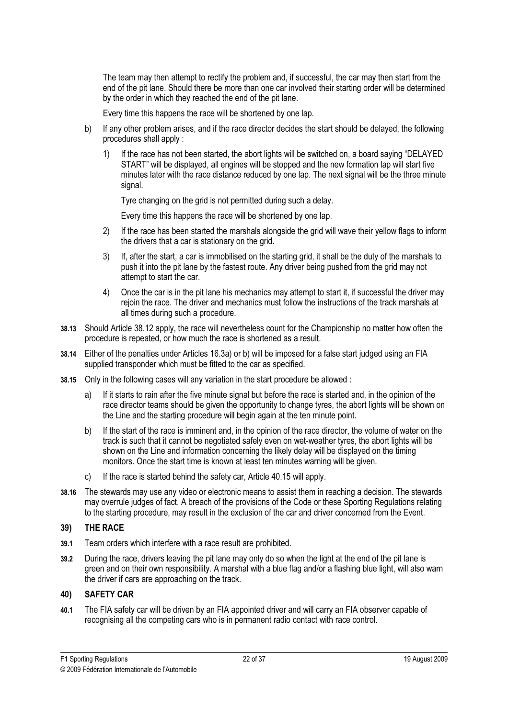The team may then attempt to rectify the problem and, if successful, the car may then start from the end of the pit lane. Should there be more than one car involved their starting order will be determined by the order in which they reached the end of the pit lane.

Every time this happens the race will be shortened by one lap.

- b) If any other problem arises, and if the race director decides the start should be delayed, the following procedures shall apply :
	- 1) If the race has not been started, the abort lights will be switched on, a board saying "DELAYED START" will be displayed, all engines will be stopped and the new formation lap will start five minutes later with the race distance reduced by one lap. The next signal will be the three minute signal.

Tyre changing on the grid is not permitted during such a delay.

Every time this happens the race will be shortened by one lap.

- 2) If the race has been started the marshals alongside the grid will wave their yellow flags to inform the drivers that a car is stationary on the grid.
- 3) If, after the start, a car is immobilised on the starting grid, it shall be the duty of the marshals to push it into the pit lane by the fastest route. Any driver being pushed from the grid may not attempt to start the car.
- 4) Once the car is in the pit lane his mechanics may attempt to start it, if successful the driver may rejoin the race. The driver and mechanics must follow the instructions of the track marshals at all times during such a procedure.
- 38.13 Should Article 38.12 apply, the race will nevertheless count for the Championship no matter how often the procedure is repeated, or how much the race is shortened as a result.
- 38.14 Either of the penalties under Articles 16.3a) or b) will be imposed for a false start judged using an FIA supplied transponder which must be fitted to the car as specified.
- 38.15 Only in the following cases will any variation in the start procedure be allowed :
	- a) If it starts to rain after the five minute signal but before the race is started and, in the opinion of the race director teams should be given the opportunity to change tyres, the abort lights will be shown on the Line and the starting procedure will begin again at the ten minute point.
	- b) If the start of the race is imminent and, in the opinion of the race director, the volume of water on the track is such that it cannot be negotiated safely even on wet-weather tyres, the abort lights will be shown on the Line and information concerning the likely delay will be displayed on the timing monitors. Once the start time is known at least ten minutes warning will be given.
	- c) If the race is started behind the safety car, Article 40.15 will apply.
- 38.16 The stewards may use any video or electronic means to assist them in reaching a decision. The stewards may overrule judges of fact. A breach of the provisions of the Code or these Sporting Regulations relating to the starting procedure, may result in the exclusion of the car and driver concerned from the Event.

### THE RACE

- 39) THE RACE 39.1 Team orders which interfere with a race result are prohibited.
- 39.2 During the race, drivers leaving the pit lane may only do so when the light at the end of the pit lane is green and on their own responsibility. A marshal with a blue flag and/or a flashing blue light, will also warn the driver if cars are approaching on the track.

### **SAFETY CAR**  $\frac{1}{2}$  SAFETY CARPENTER CARPENTER

40.1 The FIA safety car will be driven by an FIA appointed driver and will carry an FIA observer capable of recognising all the competing cars who is in permanent radio contact with race control.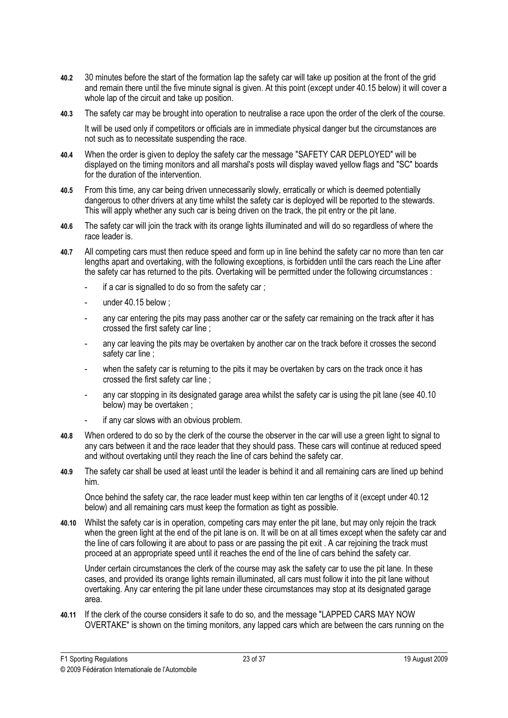- 40.2 30 minutes before the start of the formation lap the safety car will take up position at the front of the grid and remain there until the five minute signal is given. At this point (except under 40.15 below) it will cover a whole lap of the circuit and take up position.
- 40.3 The safety car may be brought into operation to neutralise a race upon the order of the clerk of the course.

 It will be used only if competitors or officials are in immediate physical danger but the circumstances are not such as to necessitate suspending the race.

- 40.4 When the order is given to deploy the safety car the message "SAFETY CAR DEPLOYED" will be displayed on the timing monitors and all marshal's posts will display waved yellow flags and "SC" boards for the duration of the intervention.
- 40.5 From this time, any car being driven unnecessarily slowly, erratically or which is deemed potentially dangerous to other drivers at any time whilst the safety car is deployed will be reported to the stewards. This will apply whether any such car is being driven on the track, the pit entry or the pit lane.
- 40.6 The safety car will join the track with its orange lights illuminated and will do so regardless of where the race leader is.
- 40.7 All competing cars must then reduce speed and form up in line behind the safety car no more than ten car lengths apart and overtaking, with the following exceptions, is forbidden until the cars reach the Line after the safety car has returned to the pits. Overtaking will be permitted under the following circumstances :
	- if a car is signalled to do so from the safety car:
	- under  $40.15$  below :
	- any car entering the pits may pass another car or the safety car remaining on the track after it has crossed the first safety car line ;
	- any car leaving the pits may be overtaken by another car on the track before it crosses the second safety car line ;
	- when the safety car is returning to the pits it may be overtaken by cars on the track once it has crossed the first safety car line ;
	- any car stopping in its designated garage area whilst the safety car is using the pit lane (see 40.10 below) may be overtaken ;
	- if any car slows with an obvious problem.
- 40.8 When ordered to do so by the clerk of the course the observer in the car will use a green light to signal to any cars between it and the race leader that they should pass. These cars will continue at reduced speed and without overtaking until they reach the line of cars behind the safety car.
- 40.9 The safety car shall be used at least until the leader is behind it and all remaining cars are lined up behind him.

 Once behind the safety car, the race leader must keep within ten car lengths of it (except under 40.12 below) and all remaining cars must keep the formation as tight as possible.

40.10 Whilst the safety car is in operation, competing cars may enter the pit lane, but may only rejoin the track when the green light at the end of the pit lane is on. It will be on at all times except when the safety car and the line of cars following it are about to pass or are passing the pit exit . A car rejoining the track must proceed at an appropriate speed until it reaches the end of the line of cars behind the safety car.

 Under certain circumstances the clerk of the course may ask the safety car to use the pit lane. In these cases, and provided its orange lights remain illuminated, all cars must follow it into the pit lane without overtaking. Any car entering the pit lane under these circumstances may stop at its designated garage area.

40.11 If the clerk of the course considers it safe to do so, and the message "LAPPED CARS MAY NOW OVERTAKE" is shown on the timing monitors, any lapped cars which are between the cars running on the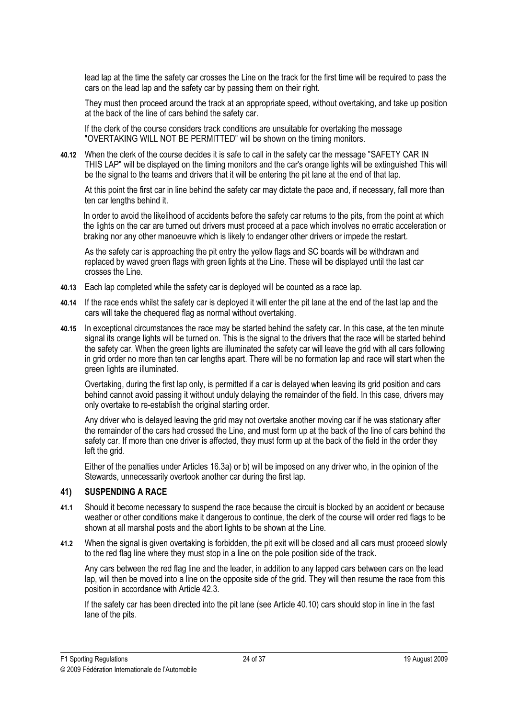lead lap at the time the safety car crosses the Line on the track for the first time will be required to pass the cars on the lead lap and the safety car by passing them on their right.

 They must then proceed around the track at an appropriate speed, without overtaking, and take up position at the back of the line of cars behind the safety car.

 If the clerk of the course considers track conditions are unsuitable for overtaking the message "OVERTAKING WILL NOT BE PERMITTED" will be shown on the timing monitors.

40.12 When the clerk of the course decides it is safe to call in the safety car the message "SAFETY CAR IN THIS LAP" will be displayed on the timing monitors and the car's orange lights will be extinguished This will be the signal to the teams and drivers that it will be entering the pit lane at the end of that lap.

 At this point the first car in line behind the safety car may dictate the pace and, if necessary, fall more than ten car lengths behind it.

 In order to avoid the likelihood of accidents before the safety car returns to the pits, from the point at which the lights on the car are turned out drivers must proceed at a pace which involves no erratic acceleration or braking nor any other manoeuvre which is likely to endanger other drivers or impede the restart.

 As the safety car is approaching the pit entry the yellow flags and SC boards will be withdrawn and replaced by waved green flags with green lights at the Line. These will be displayed until the last car crosses the Line.

- 40.13 Each lap completed while the safety car is deployed will be counted as a race lap.
- 40.14 If the race ends whilst the safety car is deployed it will enter the pit lane at the end of the last lap and the cars will take the chequered flag as normal without overtaking.
- 40.15 In exceptional circumstances the race may be started behind the safety car. In this case, at the ten minute signal its orange lights will be turned on. This is the signal to the drivers that the race will be started behind the safety car. When the green lights are illuminated the safety car will leave the grid with all cars following in grid order no more than ten car lengths apart. There will be no formation lap and race will start when the green lights are illuminated.

 Overtaking, during the first lap only, is permitted if a car is delayed when leaving its grid position and cars behind cannot avoid passing it without unduly delaying the remainder of the field. In this case, drivers may only overtake to re-establish the original starting order.

 Any driver who is delayed leaving the grid may not overtake another moving car if he was stationary after the remainder of the cars had crossed the Line, and must form up at the back of the line of cars behind the safety car. If more than one driver is affected, they must form up at the back of the field in the order they left the grid.

 Either of the penalties under Articles 16.3a) or b) will be imposed on any driver who, in the opinion of the Stewards, unnecessarily overtook another car during the first lap.

#### 41) SUSPENDING A RACE

- $\frac{1}{2}$ 41.1 Should it become necessary to suspend the race because the circuit is blocked by an accident or because weather or other conditions make it dangerous to continue, the clerk of the course will order red flags to be shown at all marshal posts and the abort lights to be shown at the Line.
- 41.2 When the signal is given overtaking is forbidden, the pit exit will be closed and all cars must proceed slowly to the red flag line where they must stop in a line on the pole position side of the track.

Any cars between the red flag line and the leader, in addition to any lapped cars between cars on the lead lap, will then be moved into a line on the opposite side of the grid. They will then resume the race from this position in accordance with Article 42.3.

 If the safety car has been directed into the pit lane (see Article 40.10) cars should stop in line in the fast lane of the pits.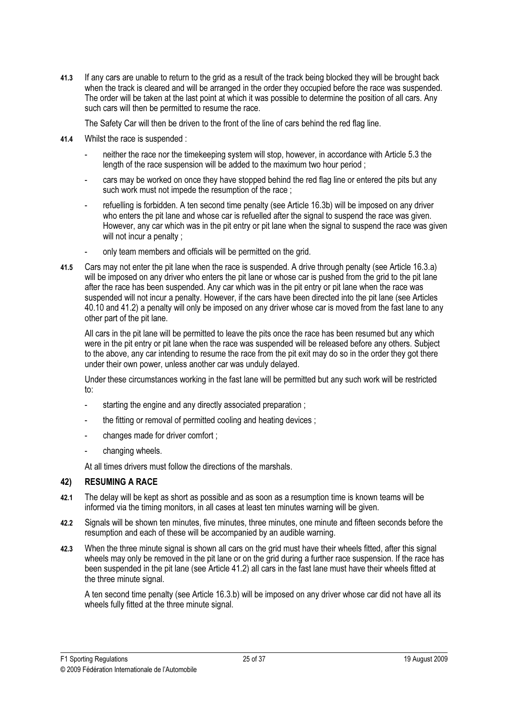41.3 If any cars are unable to return to the grid as a result of the track being blocked they will be brought back when the track is cleared and will be arranged in the order they occupied before the race was suspended. The order will be taken at the last point at which it was possible to determine the position of all cars. Any such cars will then be permitted to resume the race.

The Safety Car will then be driven to the front of the line of cars behind the red flag line.

- 41.4 Whilst the race is suspended :
	- neither the race nor the timekeeping system will stop, however, in accordance with Article 5.3 the length of the race suspension will be added to the maximum two hour period ;
	- cars may be worked on once they have stopped behind the red flag line or entered the pits but any such work must not impede the resumption of the race ;
	- refuelling is forbidden. A ten second time penalty (see Article 16.3b) will be imposed on any driver who enters the pit lane and whose car is refuelled after the signal to suspend the race was given. However, any car which was in the pit entry or pit lane when the signal to suspend the race was given will not incur a penalty :
	- only team members and officials will be permitted on the grid.
- 41.5 Cars may not enter the pit lane when the race is suspended. A drive through penalty (see Article 16.3.a) will be imposed on any driver who enters the pit lane or whose car is pushed from the grid to the pit lane after the race has been suspended. Any car which was in the pit entry or pit lane when the race was suspended will not incur a penalty. However, if the cars have been directed into the pit lane (see Articles 40.10 and 41.2) a penalty will only be imposed on any driver whose car is moved from the fast lane to any other part of the pit lane.

 All cars in the pit lane will be permitted to leave the pits once the race has been resumed but any which were in the pit entry or pit lane when the race was suspended will be released before any others. Subject to the above, any car intending to resume the race from the pit exit may do so in the order they got there under their own power, unless another car was unduly delayed.

 Under these circumstances working in the fast lane will be permitted but any such work will be restricted to:

- starting the engine and any directly associated preparation :
- the fitting or removal of permitted cooling and heating devices :
- changes made for driver comfort;
- changing wheels.

At all times drivers must follow the directions of the marshals.

#### $42)$ **RESUMING A RACE**

- 42) RESUMING A RACE 42.1 The delay will be kept as short as possible and as soon as a resumption time is known teams will be informed via the timing monitors, in all cases at least ten minutes warning will be given.
- 42.2 Signals will be shown ten minutes, five minutes, three minutes, one minute and fifteen seconds before the resumption and each of these will be accompanied by an audible warning.
- 42.3 When the three minute signal is shown all cars on the grid must have their wheels fitted, after this signal wheels may only be removed in the pit lane or on the grid during a further race suspension. If the race has been suspended in the pit lane (see Article 41.2) all cars in the fast lane must have their wheels fitted at the three minute signal.

A ten second time penalty (see Article 16.3.b) will be imposed on any driver whose car did not have all its wheels fully fitted at the three minute signal.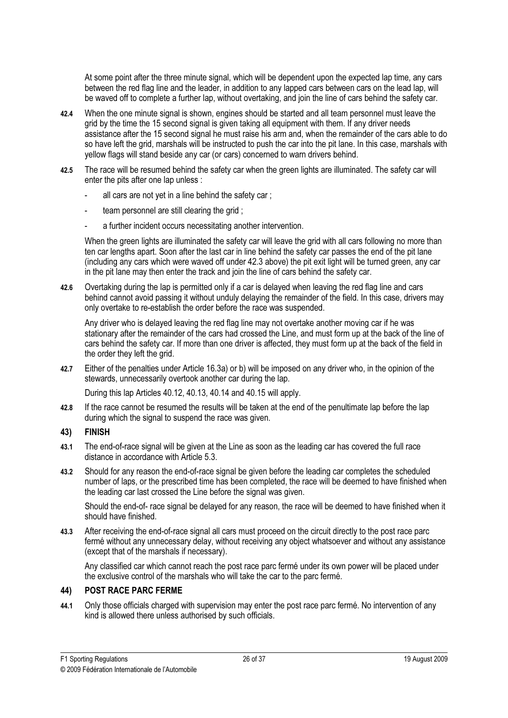At some point after the three minute signal, which will be dependent upon the expected lap time, any cars between the red flag line and the leader, in addition to any lapped cars between cars on the lead lap, will be waved off to complete a further lap, without overtaking, and join the line of cars behind the safety car.

- 42.4 When the one minute signal is shown, engines should be started and all team personnel must leave the grid by the time the 15 second signal is given taking all equipment with them. If any driver needs assistance after the 15 second signal he must raise his arm and, when the remainder of the cars able to do so have left the grid, marshals will be instructed to push the car into the pit lane. In this case, marshals with yellow flags will stand beside any car (or cars) concerned to warn drivers behind.
- 42.5 The race will be resumed behind the safety car when the green lights are illuminated. The safety car will enter the pits after one lap unless :
	- all cars are not yet in a line behind the safety car ;
	- team personnel are still clearing the grid ;
	- a further incident occurs necessitating another intervention.

When the green lights are illuminated the safety car will leave the grid with all cars following no more than ten car lengths apart. Soon after the last car in line behind the safety car passes the end of the pit lane (including any cars which were waved off under 42.3 above) the pit exit light will be turned green, any car in the pit lane may then enter the track and join the line of cars behind the safety car.

42.6 Overtaking during the lap is permitted only if a car is delayed when leaving the red flag line and cars behind cannot avoid passing it without unduly delaying the remainder of the field. In this case, drivers may only overtake to re-establish the order before the race was suspended.

 Any driver who is delayed leaving the red flag line may not overtake another moving car if he was stationary after the remainder of the cars had crossed the Line, and must form up at the back of the line of cars behind the safety car. If more than one driver is affected, they must form up at the back of the field in the order they left the grid.

42.7 Either of the penalties under Article 16.3a) or b) will be imposed on any driver who, in the opinion of the stewards, unnecessarily overtook another car during the lap.

During this lap Articles 40.12, 40.13, 40.14 and 40.15 will apply.

42.8 If the race cannot be resumed the results will be taken at the end of the penultimate lap before the lap during which the signal to suspend the race was given.

### **FINISH**

- $\frac{3}{2}$ 43.1 The end-of-race signal will be given at the Line as soon as the leading car has covered the full race distance in accordance with Article 5.3.
- 43.2 Should for any reason the end-of-race signal be given before the leading car completes the scheduled number of laps, or the prescribed time has been completed, the race will be deemed to have finished when the leading car last crossed the Line before the signal was given.

 Should the end-of- race signal be delayed for any reason, the race will be deemed to have finished when it should have finished.

43.3 After receiving the end-of-race signal all cars must proceed on the circuit directly to the post race parc fermé without any unnecessary delay, without receiving any object whatsoever and without any assistance (except that of the marshals if necessary).

 Any classified car which cannot reach the post race parc fermé under its own power will be placed under the exclusive control of the marshals who will take the car to the parc fermé.

44) POST RACE PARC FERME 44.1 Only those officials charged with supervision may enter the post race parc fermé. No intervention of any kind is allowed there unless authorised by such officials.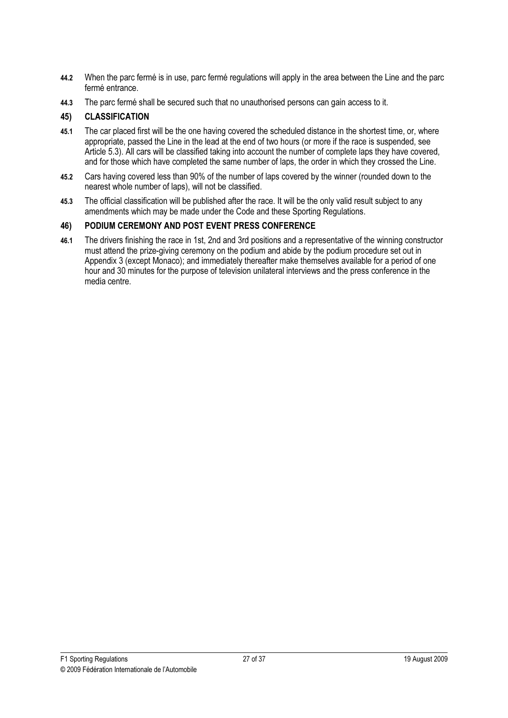- 44.2 When the parc fermé is in use, parc fermé regulations will apply in the area between the Line and the parc fermé entrance.
- 44.3 The parc fermé shall be secured such that no unauthorised persons can gain access to it.

- $\frac{1}{2}$ 45.1 The car placed first will be the one having covered the scheduled distance in the shortest time, or, where appropriate, passed the Line in the lead at the end of two hours (or more if the race is suspended, see Article 5.3). All cars will be classified taking into account the number of complete laps they have covered, and for those which have completed the same number of laps, the order in which they crossed the Line.
- 45.2 Cars having covered less than 90% of the number of laps covered by the winner (rounded down to the nearest whole number of laps), will not be classified.
- 45.3 The official classification will be published after the race. It will be the only valid result subject to any amendments which may be made under the Code and these Sporting Regulations.

### PODIUM CEREMONY AND POST EVENT PRESS CONFERENCE

 $\frac{1}{2}$ 46.1 The drivers finishing the race in 1st, 2nd and 3rd positions and a representative of the winning constructor must attend the prize-giving ceremony on the podium and abide by the podium procedure set out in Appendix 3 (except Monaco); and immediately thereafter make themselves available for a period of one hour and 30 minutes for the purpose of television unilateral interviews and the press conference in the media centre.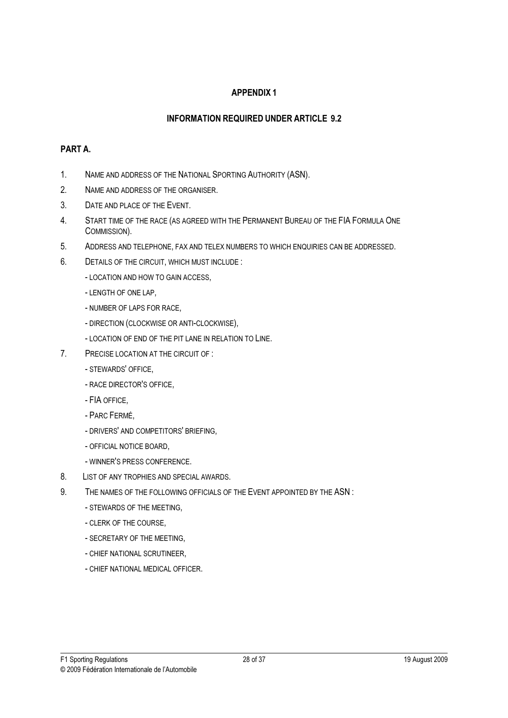### APPENDIX 1

### INFORMATION REQUIRED UNDER ARTICLE 9.2

### PART A.

- 1. NAME AND ADDRESS OF THE NATIONAL SPORTING AUTHORITY (ASN).
- 2. NAME AND ADDRESS OF THE ORGANISER.
- 3. DATE AND PLACE OF THE EVENT.
- 4. START TIME OF THE RACE (AS AGREED WITH THE PERMANENT BUREAU OF THE FIA FORMULA ONE COMMISSION).
- 5. ADDRESS AND TELEPHONE, FAX AND TELEX NUMBERS TO WHICH ENQUIRIES CAN BE ADDRESSED.
- 6. DETAILS OF THE CIRCUIT, WHICH MUST INCLUDE :
	- LOCATION AND HOW TO GAIN ACCESS,
	- LENGTH OF ONE LAP,
	- NUMBER OF LAPS FOR RACE,
	- DIRECTION (CLOCKWISE OR ANTI-CLOCKWISE),
	- LOCATION OF END OF THE PIT LANE IN RELATION TO LINE.
- 7. PRECISE LOCATION AT THE CIRCUIT OF :
	- STEWARDS' OFFICE,
	- RACE DIRECTOR'S OFFICE,
	- FIA OFFICE,
	- PARC FERMÉ,
	- DRIVERS' AND COMPETITORS' BRIEFING,
	- OFFICIAL NOTICE BOARD,
	- WINNER'S PRESS CONFERENCE.
- 8. LIST OF ANY TROPHIES AND SPECIAL AWARDS.
- 9. THE NAMES OF THE FOLLOWING OFFICIALS OF THE EVENT APPOINTED BY THE ASN :
	- STEWARDS OF THE MEETING,
	- CLERK OF THE COURSE,
	- SECRETARY OF THE MEETING,
	- CHIEF NATIONAL SCRUTINEER,
	- CHIEF NATIONAL MEDICAL OFFICER.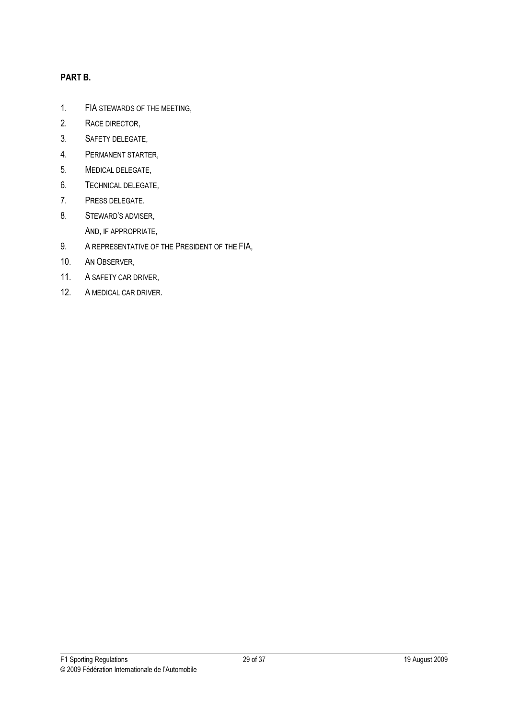### PART B.

- 1. FIA STEWARDS OF THE MEETING,
- 2. RACE DIRECTOR,
- 3. SAFETY DELEGATE,
- 4. PERMANENT STARTER,
- 5. MEDICAL DELEGATE,
- 6. TECHNICAL DELEGATE,
- 7. PRESS DELEGATE.
- 8. STEWARD'S ADVISER, AND, IF APPROPRIATE,
- 9. A REPRESENTATIVE OF THE PRESIDENT OF THE FIA,
- 10. AN OBSERVER,
- 11. A SAFETY CAR DRIVER,
- 12. A MEDICAL CAR DRIVER.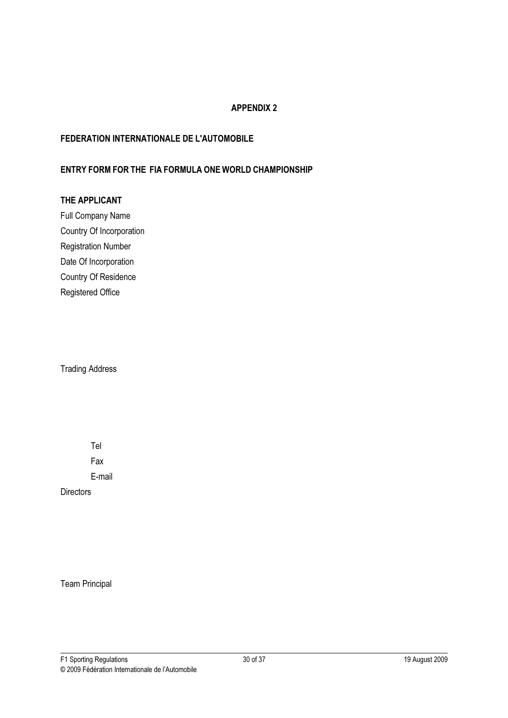### APPENDIX 2

### FEDERATION INTERNATIONALE DE L'AUTOMOBILE

### ENTRY FORM FOR THE FIA FORMULA ONE WORLD CHAMPIONSHIP

### THE APPLICANT

Full Company Name Country Of Incorporation Registration Number Date Of Incorporation Country Of Residence Registered Office

Trading Address

Tel

Fax

E-mail

**Directors** 

Team Principal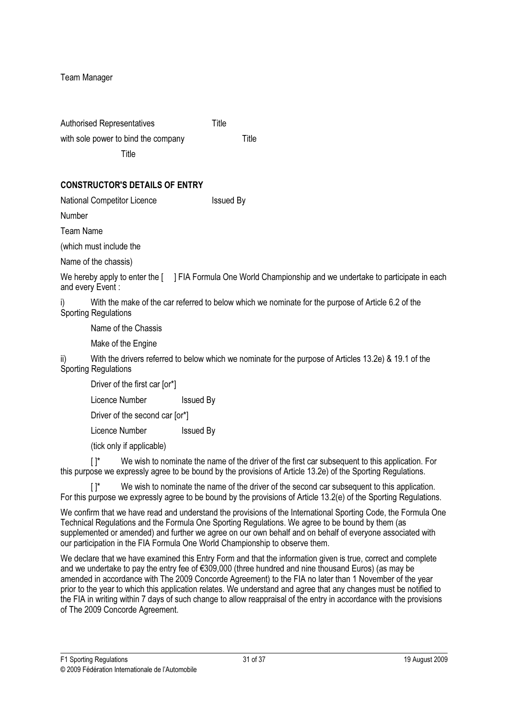Team Manager

| <b>Authorised Representatives</b>   | Title |       |
|-------------------------------------|-------|-------|
| with sole power to bind the company |       | Title |
|                                     |       |       |

### CONSTRUCTOR'S DETAILS OF ENTRY

National Competitor Licence Issued By

Number

Team Name

(which must include the

Name of the chassis)

We hereby apply to enter the [ ] FIA Formula One World Championship and we undertake to participate in each and every Event :

i) With the make of the car referred to below which we nominate for the purpose of Article 6.2 of the Sporting Regulations

Name of the Chassis

Make of the Engine

With the drivers referred to below which we nominate for the purpose of Articles 13.2e) & 19.1 of the Sporting Regulations

Driver of the first car [or\*]

Licence Number Issued By

Driver of the second car [or\*]

Licence Number Issued By

(tick only if applicable)

[ $\vert$ \* We wish to nominate the name of the driver of the first car subsequent to this application. For this purpose we expressly agree to be bound by the provisions of Article 13.2e) of the Sporting Regulations.

 $[ ]^*$  We wish to nominate the name of the driver of the second car subsequent to this application. For this purpose we expressly agree to be bound by the provisions of Article 13.2(e) of the Sporting Regulations.

We confirm that we have read and understand the provisions of the International Sporting Code, the Formula One Technical Regulations and the Formula One Sporting Regulations. We agree to be bound by them (as supplemented or amended) and further we agree on our own behalf and on behalf of everyone associated with our participation in the FIA Formula One World Championship to observe them.

We declare that we have examined this Entry Form and that the information given is true, correct and complete and we undertake to pay the entry fee of €309,000 (three hundred and nine thousand Euros) (as may be amended in accordance with The 2009 Concorde Agreement) to the FIA no later than 1 November of the year prior to the year to which this application relates. We understand and agree that any changes must be notified to the FIA in writing within 7 days of such change to allow reappraisal of the entry in accordance with the provisions of The 2009 Concorde Agreement.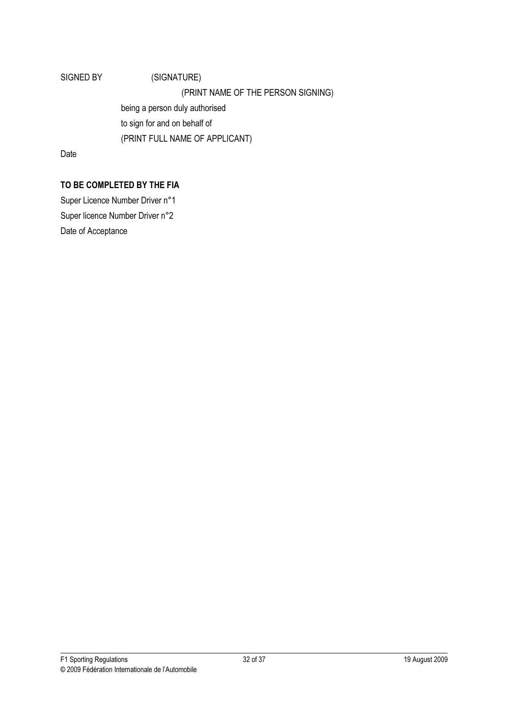# SIGNED BY (SIGNATURE) (PRINT NAME OF THE PERSON SIGNING) being a person duly authorised to sign for and on behalf of (PRINT FULL NAME OF APPLICANT)

Date

## TO BE COMPLETED BY THE FIA

Super Licence Number Driver n°1 Super licence Number Driver n°2 Date of Acceptance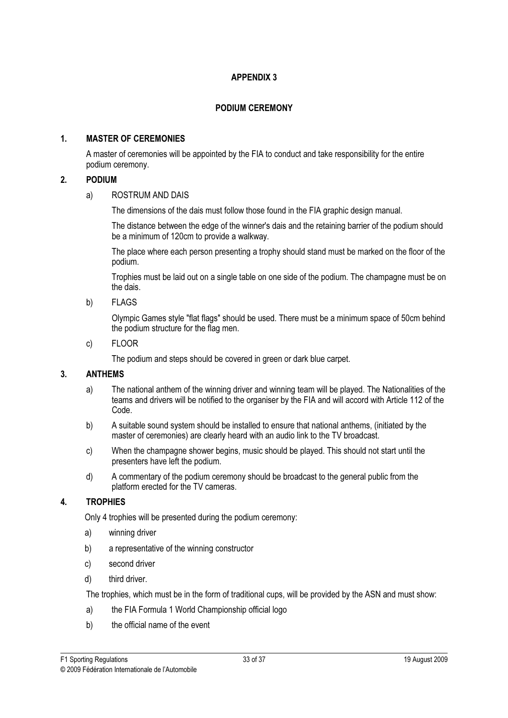### APPENDIX 3

### PODIUM CEREMONY

### 1. MASTER OF CEREMONIES

 A master of ceremonies will be appointed by the FIA to conduct and take responsibility for the entire podium ceremony.

### 2. PODIUM

### a) ROSTRUM AND DAIS

The dimensions of the dais must follow those found in the FIA graphic design manual.

 The distance between the edge of the winner's dais and the retaining barrier of the podium should be a minimum of 120cm to provide a walkway.

 The place where each person presenting a trophy should stand must be marked on the floor of the podium.

 Trophies must be laid out on a single table on one side of the podium. The champagne must be on the dais.

b) FLAGS

 Olympic Games style "flat flags" should be used. There must be a minimum space of 50cm behind the podium structure for the flag men.

c) FLOOR

The podium and steps should be covered in green or dark blue carpet.

### 3. ANTHEMS

- a) The national anthem of the winning driver and winning team will be played. The Nationalities of the teams and drivers will be notified to the organiser by the FIA and will accord with Article 112 of the Code.
- b) A suitable sound system should be installed to ensure that national anthems, (initiated by the master of ceremonies) are clearly heard with an audio link to the TV broadcast.
- c) When the champagne shower begins, music should be played. This should not start until the presenters have left the podium.
- d) A commentary of the podium ceremony should be broadcast to the general public from the platform erected for the TV cameras.

### 4. TROPHIES

Only 4 trophies will be presented during the podium ceremony:

- a) winning driver
- b) a representative of the winning constructor
- c) second driver
- d) third driver.

The trophies, which must be in the form of traditional cups, will be provided by the ASN and must show:

- a) the FIA Formula 1 World Championship official logo
- b) the official name of the event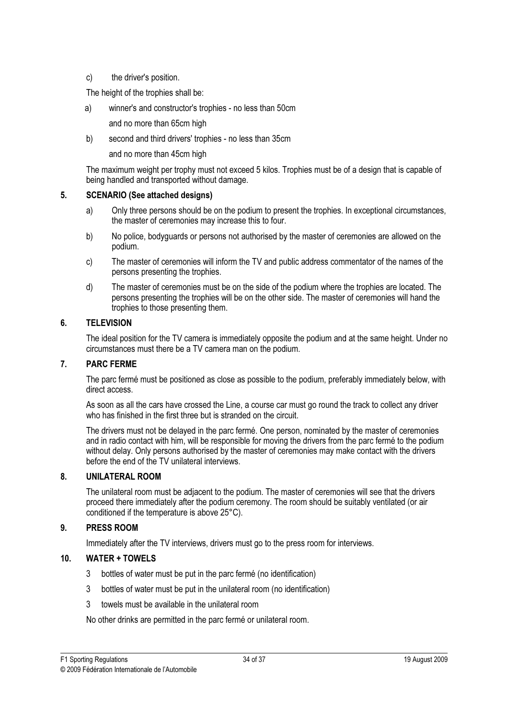### c) the driver's position.

The height of the trophies shall be:

a) winner's and constructor's trophies - no less than 50cm

and no more than 65cm high

b) second and third drivers' trophies - no less than 35cm

and no more than 45cm high

 The maximum weight per trophy must not exceed 5 kilos. Trophies must be of a design that is capable of being handled and transported without damage.

### 5. SCENARIO (See attached designs)

- a) Only three persons should be on the podium to present the trophies. In exceptional circumstances, the master of ceremonies may increase this to four.
- b) No police, bodyguards or persons not authorised by the master of ceremonies are allowed on the podium.
- c) The master of ceremonies will inform the TV and public address commentator of the names of the persons presenting the trophies.
- d) The master of ceremonies must be on the side of the podium where the trophies are located. The persons presenting the trophies will be on the other side. The master of ceremonies will hand the trophies to those presenting them.

### 6. TELEVISION

 The ideal position for the TV camera is immediately opposite the podium and at the same height. Under no circumstances must there be a TV camera man on the podium.

### 7. PARC FERME

 The parc fermé must be positioned as close as possible to the podium, preferably immediately below, with direct access.

 As soon as all the cars have crossed the Line, a course car must go round the track to collect any driver who has finished in the first three but is stranded on the circuit.

 The drivers must not be delayed in the parc fermé. One person, nominated by the master of ceremonies and in radio contact with him, will be responsible for moving the drivers from the parc fermé to the podium without delay. Only persons authorised by the master of ceremonies may make contact with the drivers before the end of the TV unilateral interviews.

### 8. UNILATERAL ROOM

 The unilateral room must be adjacent to the podium. The master of ceremonies will see that the drivers proceed there immediately after the podium ceremony. The room should be suitably ventilated (or air conditioned if the temperature is above 25°C).

### 9. PRESS ROOM

Immediately after the TV interviews, drivers must go to the press room for interviews.

### 10. WATER + TOWELS

- 3 bottles of water must be put in the parc fermé (no identification)
- 3 bottles of water must be put in the unilateral room (no identification)
- 3 towels must be available in the unilateral room

No other drinks are permitted in the parc fermé or unilateral room.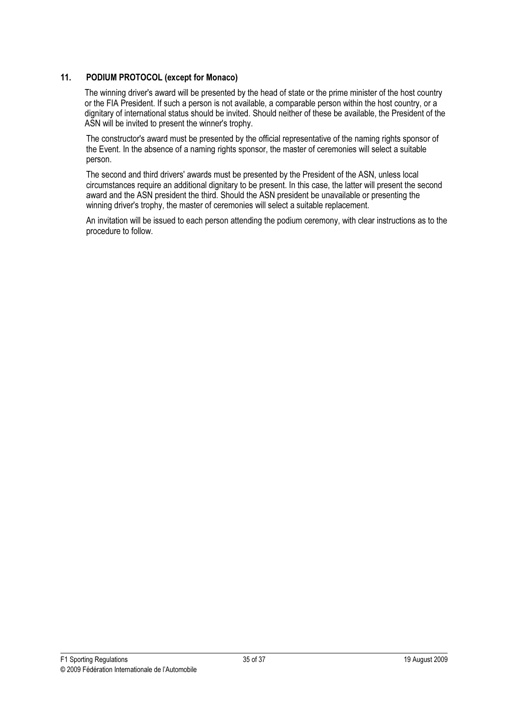### 11. PODIUM PROTOCOL (except for Monaco)

 The winning driver's award will be presented by the head of state or the prime minister of the host country or the FIA President. If such a person is not available, a comparable person within the host country, or a dignitary of international status should be invited. Should neither of these be available, the President of the ASN will be invited to present the winner's trophy.

 The constructor's award must be presented by the official representative of the naming rights sponsor of the Event. In the absence of a naming rights sponsor, the master of ceremonies will select a suitable person.

 The second and third drivers' awards must be presented by the President of the ASN, unless local circumstances require an additional dignitary to be present. In this case, the latter will present the second award and the ASN president the third. Should the ASN president be unavailable or presenting the winning driver's trophy, the master of ceremonies will select a suitable replacement.

 An invitation will be issued to each person attending the podium ceremony, with clear instructions as to the procedure to follow.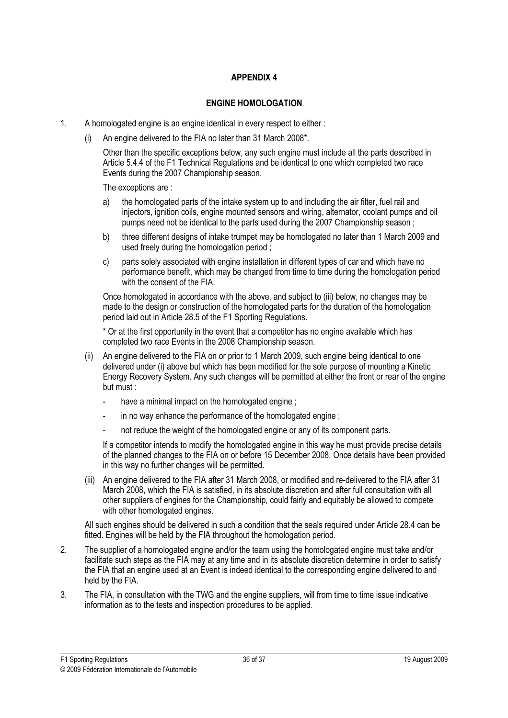### APPENDIX 4

### ENGINE HOMOLOGATION

- 1. A homologated engine is an engine identical in every respect to either :
	- (i) An engine delivered to the FIA no later than 31 March 2008\*.

 Other than the specific exceptions below, any such engine must include all the parts described in Article 5.4.4 of the F1 Technical Regulations and be identical to one which completed two race Events during the 2007 Championship season.

The exceptions are :

- a) the homologated parts of the intake system up to and including the air filter, fuel rail and injectors, ignition coils, engine mounted sensors and wiring, alternator, coolant pumps and oil pumps need not be identical to the parts used during the 2007 Championship season ;
- b) three different designs of intake trumpet may be homologated no later than 1 March 2009 and used freely during the homologation period ;
- c) parts solely associated with engine installation in different types of car and which have no performance benefit, which may be changed from time to time during the homologation period with the consent of the FIA.

 Once homologated in accordance with the above, and subject to (iii) below, no changes may be made to the design or construction of the homologated parts for the duration of the homologation period laid out in Article 28.5 of the F1 Sporting Regulations.

 \* Or at the first opportunity in the event that a competitor has no engine available which has completed two race Events in the 2008 Championship season.

- (ii) An engine delivered to the FIA on or prior to 1 March 2009, such engine being identical to one delivered under (i) above but which has been modified for the sole purpose of mounting a Kinetic Energy Recovery System. Any such changes will be permitted at either the front or rear of the engine but must :
	- have a minimal impact on the homologated engine ;
	- in no way enhance the performance of the homologated engine ;
	- not reduce the weight of the homologated engine or any of its component parts.

 If a competitor intends to modify the homologated engine in this way he must provide precise details of the planned changes to the FIA on or before 15 December 2008. Once details have been provided in this way no further changes will be permitted.

 (iii) An engine delivered to the FIA after 31 March 2008, or modified and re-delivered to the FIA after 31 March 2008, which the FIA is satisfied, in its absolute discretion and after full consultation with all other suppliers of engines for the Championship, could fairly and equitably be allowed to compete with other homologated engines.

 All such engines should be delivered in such a condition that the seals required under Article 28.4 can be fitted. Engines will be held by the FIA throughout the homologation period.

- 2. The supplier of a homologated engine and/or the team using the homologated engine must take and/or facilitate such steps as the FIA may at any time and in its absolute discretion determine in order to satisfy the FIA that an engine used at an Event is indeed identical to the corresponding engine delivered to and held by the FIA.
- 3. The FIA, in consultation with the TWG and the engine suppliers, will from time to time issue indicative information as to the tests and inspection procedures to be applied.